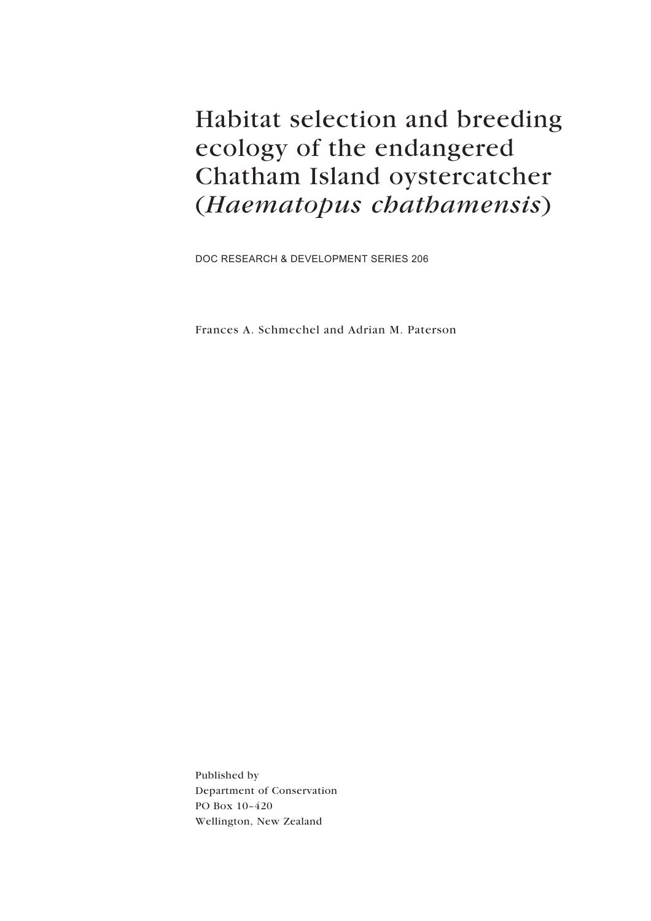Habitat selection and breeding ecology of the endangered Chatham Island oystercatcher (Haematopus chathamensis)

DOC RESEARCH & DEVELOPMENT SERIES 206

Frances A. Schmechel and Adrian M. Paterson

Published by Department of Conservation PO Box 10-420 Wellington, New Zealand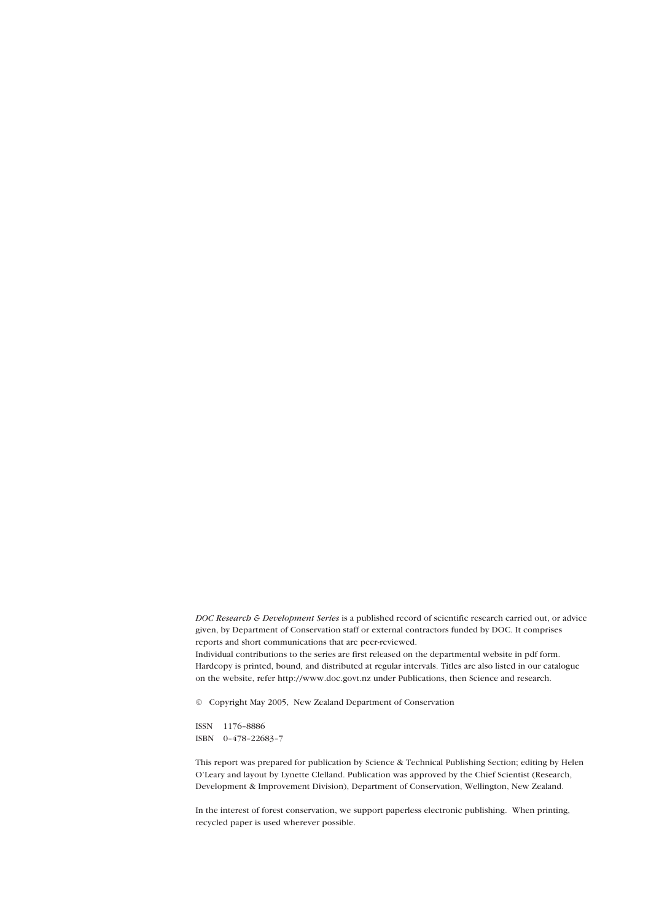DOC Research & Development Series is a published record of scientific research carried out, or advice given, by Department of Conservation staff or external contractors funded by DOC. It comprises reports and short communications that are peer-reviewed.

Individual contributions to the series are first released on the departmental website in pdf form. Hardcopy is printed, bound, and distributed at regular intervals. Titles are also listed in our catalogue on the website, refer http://www.doc.govt.nz under Publications, then Science and research.

© Copyright May 2005, New Zealand Department of Conservation

ISSN 1176-8886 ISBN 0-478-22683-7

This report was prepared for publication by Science & Technical Publishing Section; editing by Helen OíLeary and layout by Lynette Clelland. Publication was approved by the Chief Scientist (Research, Development & Improvement Division), Department of Conservation, Wellington, New Zealand.

In the interest of forest conservation, we support paperless electronic publishing. When printing, recycled paper is used wherever possible.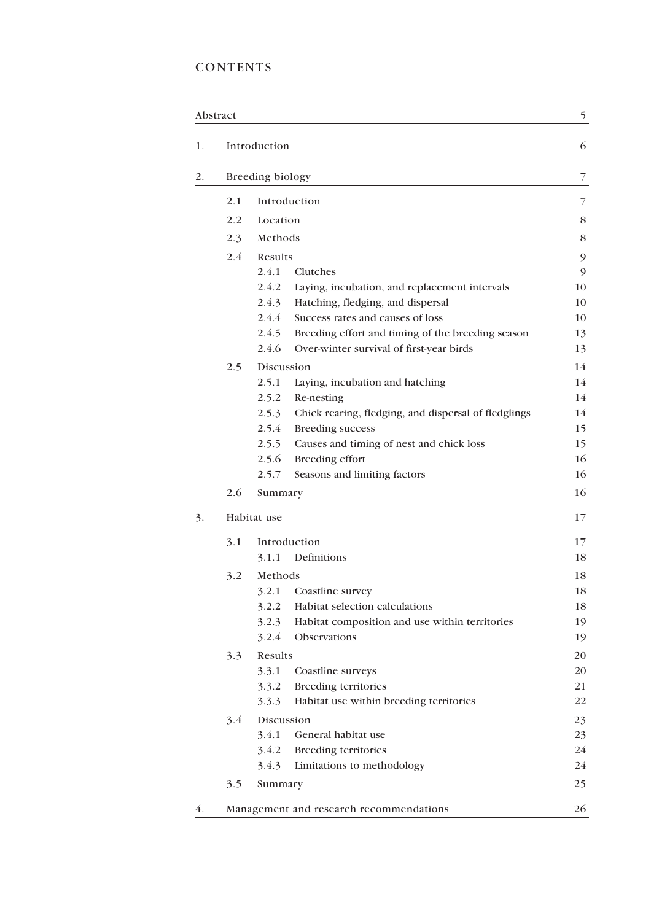## **CONTENTS**

|    | Abstract |                                                               | 5  |
|----|----------|---------------------------------------------------------------|----|
| 1. |          | Introduction                                                  | 6  |
| 2. |          | Breeding biology                                              | 7  |
|    | 2.1      | Introduction                                                  | 7  |
|    | 2.2      | Location                                                      | 8  |
|    | 2.3      | Methods                                                       | 8  |
|    | 2.4      | Results                                                       | 9  |
|    |          | 2.4.1<br>Clutches                                             | 9  |
|    |          | 2.4.2<br>Laying, incubation, and replacement intervals        | 10 |
|    |          | 2.4.3<br>Hatching, fledging, and dispersal                    | 10 |
|    |          | 2.4.4<br>Success rates and causes of loss                     | 10 |
|    |          | 2.4.5<br>Breeding effort and timing of the breeding season    | 13 |
|    |          | 2.4.6<br>Over-winter survival of first-year birds             | 13 |
|    | 2.5      | Discussion                                                    | 14 |
|    |          | 2.5.1<br>Laying, incubation and hatching                      | 14 |
|    |          | 2.5.2<br>Re-nesting                                           | 14 |
|    |          | 2.5.3<br>Chick rearing, fledging, and dispersal of fledglings | 14 |
|    |          | 2.5.4<br><b>Breeding success</b>                              | 15 |
|    |          | 2.5.5<br>Causes and timing of nest and chick loss             | 15 |
|    |          | 2.5.6<br>Breeding effort                                      | 16 |
|    |          | 2.5.7<br>Seasons and limiting factors                         | 16 |
|    | 2.6      | Summary                                                       | 16 |
| 3. |          | Habitat use                                                   | 17 |
|    | 3.1      | Introduction                                                  | 17 |
|    |          | Definitions<br>3.1.1                                          | 18 |
|    | 3.2      | Methods                                                       | 18 |
|    |          | 3.2.1<br>Coastline survey                                     | 18 |
|    |          | Habitat selection calculations<br>3.2.2                       | 18 |
|    |          | 3.2.3<br>Habitat composition and use within territories       | 19 |
|    |          | 3.2.4<br>Observations                                         | 19 |
|    | 3.3      | Results                                                       | 20 |
|    |          | 3.3.1<br>Coastline surveys                                    | 20 |
|    |          | <b>Breeding territories</b><br>3.3.2                          | 21 |
|    |          | 3.3.3<br>Habitat use within breeding territories              | 22 |
|    | 3.4      | Discussion                                                    | 23 |
|    |          | 3.4.1<br>General habitat use                                  | 23 |
|    |          | 3.4.2<br>Breeding territories                                 | 24 |
|    |          | 3.4.3<br>Limitations to methodology                           | 24 |
|    | 3.5      | Summary                                                       | 25 |
| 4. |          | Management and research recommendations                       | 26 |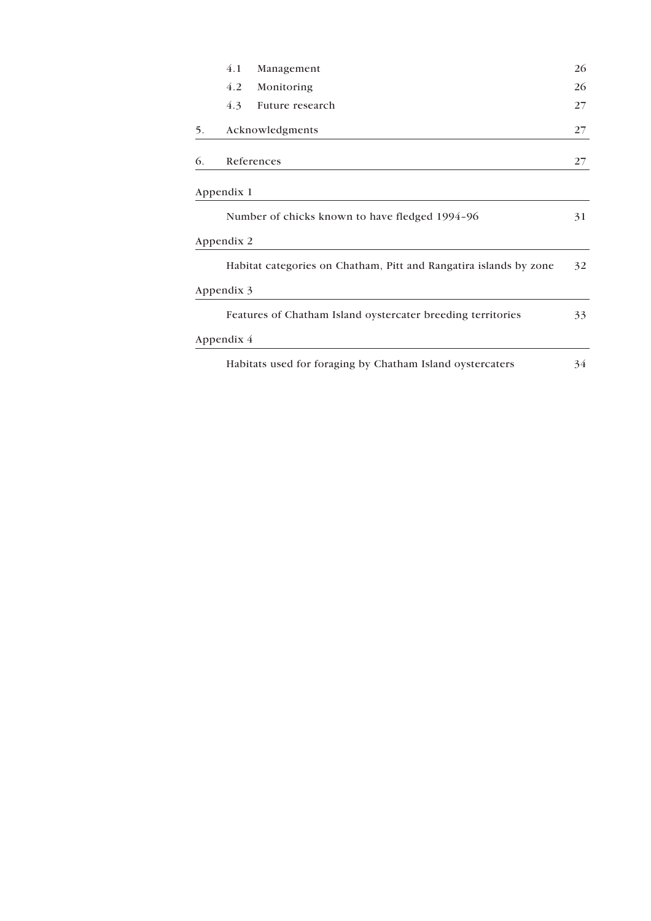| 4.1<br>Management                                                 | 26 |
|-------------------------------------------------------------------|----|
| 4.2<br>Monitoring                                                 | 26 |
| 4.3<br>Future research                                            | 27 |
| Acknowledgments                                                   | 27 |
| References                                                        | 27 |
| Appendix 1                                                        |    |
| Number of chicks known to have fledged 1994-96                    | 31 |
| Appendix 2                                                        |    |
| Habitat categories on Chatham, Pitt and Rangatira islands by zone | 32 |
| Appendix 3                                                        |    |
| Features of Chatham Island oystercater breeding territories       | 33 |
| Appendix $4$                                                      |    |
| Habitats used for foraging by Chatham Island oystercaters         | 34 |
|                                                                   |    |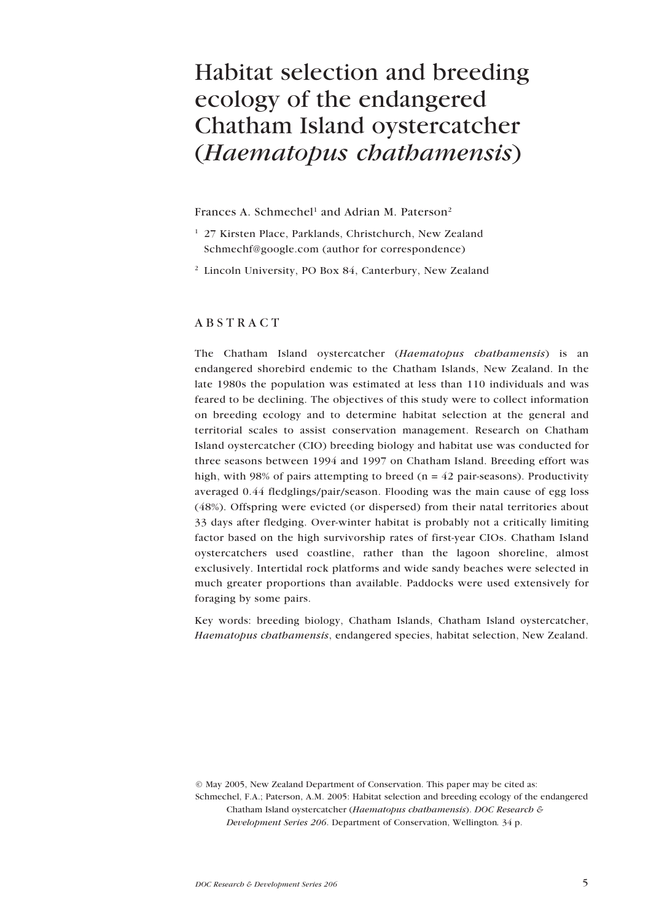## <span id="page-4-0"></span>Habitat selection and breeding ecology of the endangered Chatham Island oystercatcher (*Haematopus chathamensis*)

#### Frances A. Schmechel<sup>1</sup> and Adrian M. Paterson<sup>2</sup>

- <sup>1</sup> 27 Kirsten Place, Parklands, Christchurch, New Zealand Schmechf@google.com (author for correspondence)
- <sup>2</sup> Lincoln University, PO Box 84, Canterbury, New Zealand

#### ABSTRACT

The Chatham Island oystercatcher (Haematopus chathamensis) is an endangered shorebird endemic to the Chatham Islands, New Zealand. In the late 1980s the population was estimated at less than 110 individuals and was feared to be declining. The objectives of this study were to collect information on breeding ecology and to determine habitat selection at the general and territorial scales to assist conservation management. Research on Chatham Island oystercatcher (CIO) breeding biology and habitat use was conducted for three seasons between 1994 and 1997 on Chatham Island. Breeding effort was high, with 98% of pairs attempting to breed ( $n = 42$  pair-seasons). Productivity averaged 0.44 fledglings/pair/season. Flooding was the main cause of egg loss (48%). Offspring were evicted (or dispersed) from their natal territories about 33 days after fledging. Over-winter habitat is probably not a critically limiting factor based on the high survivorship rates of first-year CIOs. Chatham Island oystercatchers used coastline, rather than the lagoon shoreline, almost exclusively. Intertidal rock platforms and wide sandy beaches were selected in much greater proportions than available. Paddocks were used extensively for foraging by some pairs.

Key words: breeding biology, Chatham Islands, Chatham Island oystercatcher, Haematopus chathamensis, endangered species, habitat selection, New Zealand.

© May 2005, New Zealand Department of Conservation. This paper may be cited as: Schmechel, F.A.; Paterson, A.M. 2005: Habitat selection and breeding ecology of the endangered Chatham Island oystercatcher (Haematopus chathamensis). DOC Research & Development Series 206. Department of Conservation, Wellington. 34 p.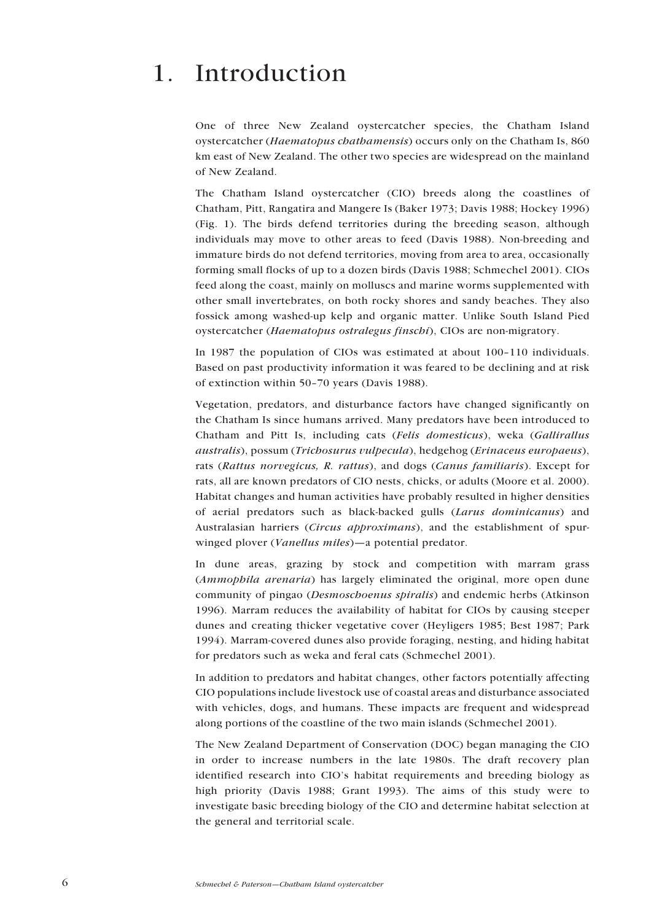## <span id="page-5-0"></span>1. Introduction

One of three New Zealand oystercatcher species, the Chatham Island oystercatcher (Haematopus chathamensis) occurs only on the Chatham Is, 860 km east of New Zealand. The other two species are widespread on the mainland of New Zealand.

The Chatham Island oystercatcher (CIO) breeds along the coastlines of Chatham, Pitt, Rangatira and Mangere Is (Baker 1973; Davis 1988; Hockey 1996) (Fig. 1). The birds defend territories during the breeding season, although individuals may move to other areas to feed (Davis 1988). Non-breeding and immature birds do not defend territories, moving from area to area, occasionally forming small flocks of up to a dozen birds (Davis 1988; Schmechel 2001). CIOs feed along the coast, mainly on molluscs and marine worms supplemented with other small invertebrates, on both rocky shores and sandy beaches. They also fossick among washed-up kelp and organic matter. Unlike South Island Pied oystercatcher (Haematopus ostralegus finschi), CIOs are non-migratory.

In 1987 the population of CIOs was estimated at about 100-110 individuals. Based on past productivity information it was feared to be declining and at risk of extinction within 50-70 years (Davis 1988).

Vegetation, predators, and disturbance factors have changed significantly on the Chatham Is since humans arrived. Many predators have been introduced to Chatham and Pitt Is, including cats (Felis domesticus), weka (Gallirallus australis), possum (Trichosurus vulpecula), hedgehog (Erinaceus europaeus), rats (Rattus norvegicus, R. rattus), and dogs (Canus familiaris). Except for rats, all are known predators of CIO nests, chicks, or adults (Moore et al. 2000). Habitat changes and human activities have probably resulted in higher densities of aerial predators such as black-backed gulls (Larus dominicanus) and Australasian harriers (Circus approximans), and the establishment of spurwinged plover (Vanellus miles)—a potential predator.

In dune areas, grazing by stock and competition with marram grass (Ammophila arenaria) has largely eliminated the original, more open dune community of pingao (Desmoschoenus spiralis) and endemic herbs (Atkinson 1996). Marram reduces the availability of habitat for CIOs by causing steeper dunes and creating thicker vegetative cover (Heyligers 1985; Best 1987; Park 1994). Marram-covered dunes also provide foraging, nesting, and hiding habitat for predators such as weka and feral cats (Schmechel 2001).

In addition to predators and habitat changes, other factors potentially affecting CIO populations include livestock use of coastal areas and disturbance associated with vehicles, dogs, and humans. These impacts are frequent and widespread along portions of the coastline of the two main islands (Schmechel 2001).

The New Zealand Department of Conservation (DOC) began managing the CIO in order to increase numbers in the late 1980s. The draft recovery plan identified research into CIO's habitat requirements and breeding biology as high priority (Davis 1988; Grant 1993). The aims of this study were to investigate basic breeding biology of the CIO and determine habitat selection at the general and territorial scale.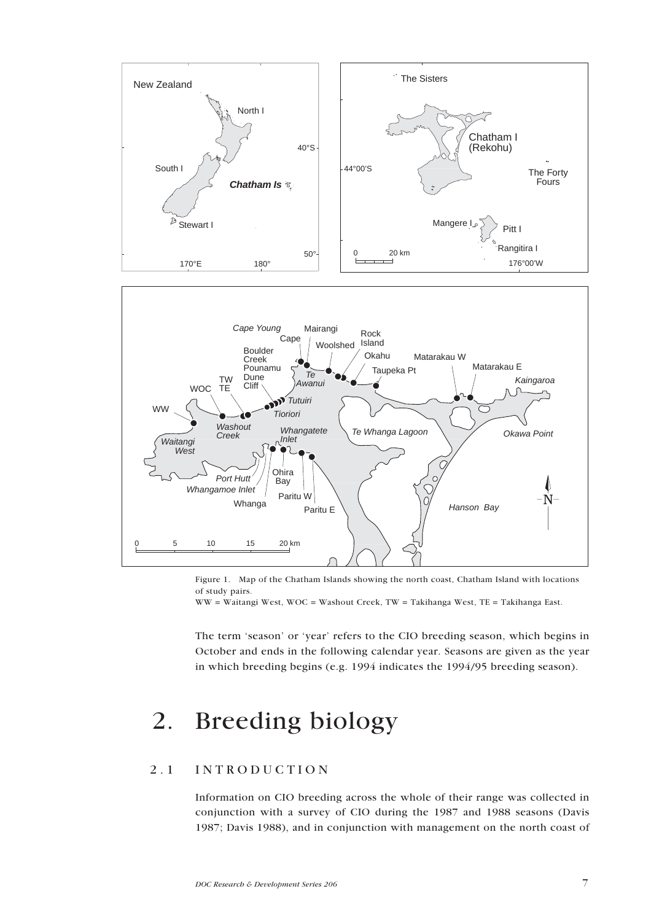<span id="page-6-0"></span>

Figure 1. Map of the Chatham Islands showing the north coast, Chatham Island with locations of study pairs.

WW = Waitangi West, WOC = Washout Creek, TW = Takihanga West, TE = Takihanga East.

The term 'season' or 'year' refers to the CIO breeding season, which begins in October and ends in the following calendar year. Seasons are given as the year in which breeding begins (e.g. 1994 indicates the 1994/95 breeding season).

## 2. Breeding biology

## 2.1 INTRODUCTION

Information on CIO breeding across the whole of their range was collected in conjunction with a survey of CIO during the 1987 and 1988 seasons (Davis 1987; Davis 1988), and in conjunction with management on the north coast of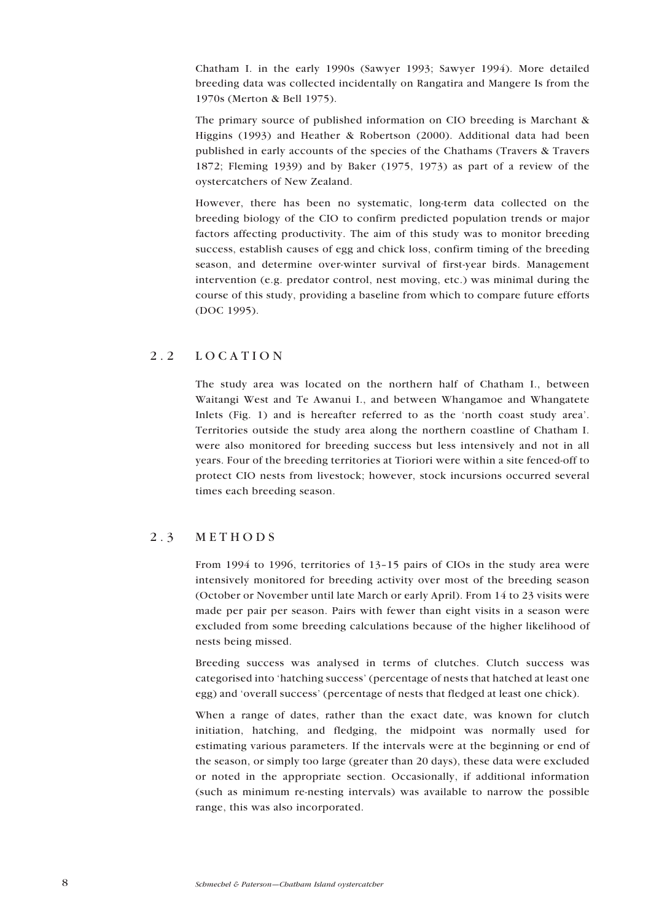<span id="page-7-0"></span>Chatham I. in the early 1990s (Sawyer 1993; Sawyer 1994). More detailed breeding data was collected incidentally on Rangatira and Mangere Is from the 1970s (Merton & Bell 1975).

The primary source of published information on CIO breeding is Marchant & Higgins (1993) and Heather & Robertson (2000). Additional data had been published in early accounts of the species of the Chathams (Travers & Travers 1872; Fleming 1939) and by Baker (1975, 1973) as part of a review of the oystercatchers of New Zealand.

However, there has been no systematic, long-term data collected on the breeding biology of the CIO to confirm predicted population trends or major factors affecting productivity. The aim of this study was to monitor breeding success, establish causes of egg and chick loss, confirm timing of the breeding season, and determine over-winter survival of first-year birds. Management intervention (e.g. predator control, nest moving, etc.) was minimal during the course of this study, providing a baseline from which to compare future efforts (DOC 1995).

## 2.2 LOCATION

The study area was located on the northern half of Chatham I., between Waitangi West and Te Awanui I., and between Whangamoe and Whangatete Inlets (Fig. 1) and is hereafter referred to as the 'north coast study area'. Territories outside the study area along the northern coastline of Chatham I. were also monitored for breeding success but less intensively and not in all years. Four of the breeding territories at Tioriori were within a site fenced-off to protect CIO nests from livestock; however, stock incursions occurred several times each breeding season.

## 2.3 METHODS

From 1994 to 1996, territories of  $13-15$  pairs of CIOs in the study area were intensively monitored for breeding activity over most of the breeding season (October or November until late March or early April). From 14 to 23 visits were made per pair per season. Pairs with fewer than eight visits in a season were excluded from some breeding calculations because of the higher likelihood of nests being missed.

Breeding success was analysed in terms of clutches. Clutch success was categorised into 'hatching success' (percentage of nests that hatched at least one egg) and 'overall success' (percentage of nests that fledged at least one chick).

When a range of dates, rather than the exact date, was known for clutch initiation, hatching, and fledging, the midpoint was normally used for estimating various parameters. If the intervals were at the beginning or end of the season, or simply too large (greater than 20 days), these data were excluded or noted in the appropriate section. Occasionally, if additional information (such as minimum re-nesting intervals) was available to narrow the possible range, this was also incorporated.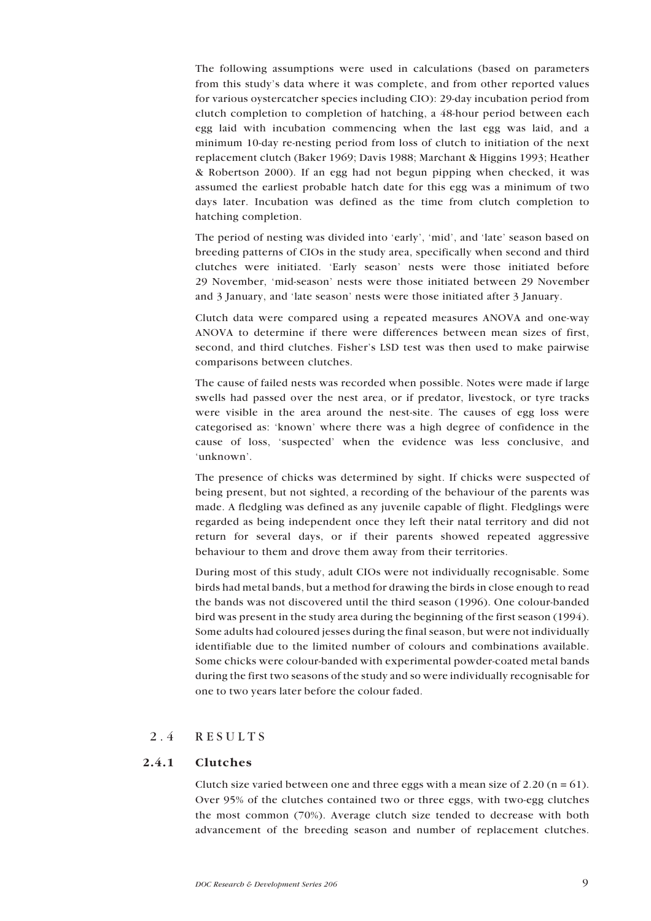<span id="page-8-0"></span>The following assumptions were used in calculations (based on parameters from this studyís data where it was complete, and from other reported values for various oystercatcher species including CIO): 29-day incubation period from clutch completion to completion of hatching, a 48-hour period between each egg laid with incubation commencing when the last egg was laid, and a minimum 10-day re-nesting period from loss of clutch to initiation of the next replacement clutch (Baker 1969; Davis 1988; Marchant & Higgins 1993; Heather & Robertson 2000). If an egg had not begun pipping when checked, it was assumed the earliest probable hatch date for this egg was a minimum of two days later. Incubation was defined as the time from clutch completion to hatching completion.

The period of nesting was divided into 'early', 'mid', and 'late' season based on breeding patterns of CIOs in the study area, specifically when second and third clutches were initiated. 'Early season' nests were those initiated before 29 November, 'mid-season' nests were those initiated between 29 November and 3 January, and 'late season' nests were those initiated after 3 January.

Clutch data were compared using a repeated measures ANOVA and one-way ANOVA to determine if there were differences between mean sizes of first, second, and third clutches. Fisher's LSD test was then used to make pairwise comparisons between clutches.

The cause of failed nests was recorded when possible. Notes were made if large swells had passed over the nest area, or if predator, livestock, or tyre tracks were visible in the area around the nest-site. The causes of egg loss were categorised as: ëknowní where there was a high degree of confidence in the cause of loss, 'suspected' when the evidence was less conclusive, and 'unknown'.

The presence of chicks was determined by sight. If chicks were suspected of being present, but not sighted, a recording of the behaviour of the parents was made. A fledgling was defined as any juvenile capable of flight. Fledglings were regarded as being independent once they left their natal territory and did not return for several days, or if their parents showed repeated aggressive behaviour to them and drove them away from their territories.

During most of this study, adult CIOs were not individually recognisable. Some birds had metal bands, but a method for drawing the birds in close enough to read the bands was not discovered until the third season (1996). One colour-banded bird was present in the study area during the beginning of the first season (1994). Some adults had coloured jesses during the final season, but were not individually identifiable due to the limited number of colours and combinations available. Some chicks were colour-banded with experimental powder-coated metal bands during the first two seasons of the study and so were individually recognisable for one to two years later before the colour faded.

## 2.4 RESULTS

## 2.4.1 Clutches

Clutch size varied between one and three eggs with a mean size of 2.20 ( $n = 61$ ). Over 95% of the clutches contained two or three eggs, with two-egg clutches the most common (70%). Average clutch size tended to decrease with both advancement of the breeding season and number of replacement clutches.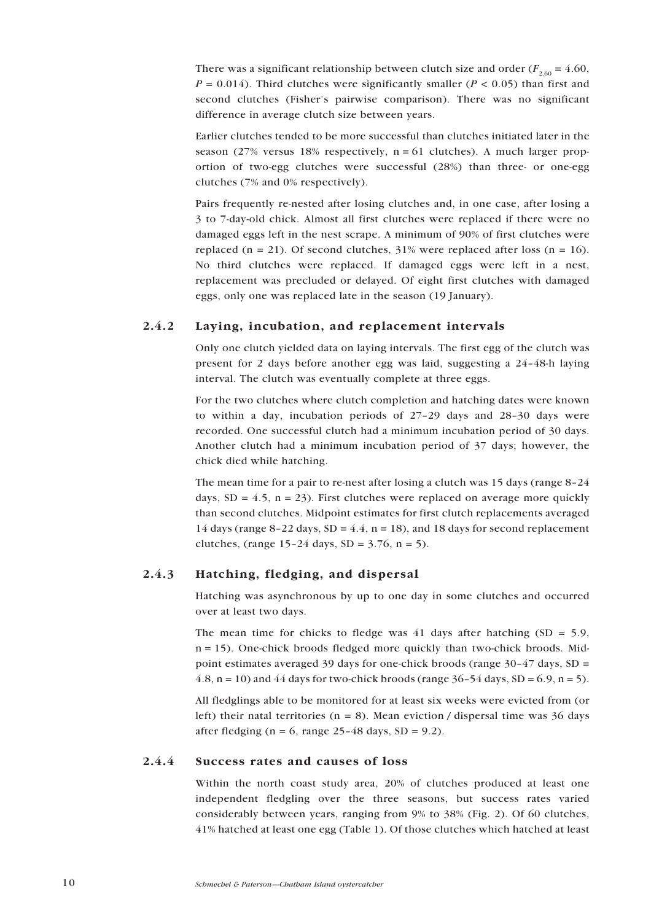<span id="page-9-0"></span>There was a significant relationship between clutch size and order ( $F_{2,60} = 4.60$ ,  $P = 0.014$ ). Third clutches were significantly smaller ( $P < 0.05$ ) than first and second clutches (Fisher's pairwise comparison). There was no significant difference in average clutch size between years.

Earlier clutches tended to be more successful than clutches initiated later in the season (27% versus 18% respectively,  $n = 61$  clutches). A much larger proportion of two-egg clutches were successful (28%) than three- or one-egg clutches (7% and 0% respectively).

Pairs frequently re-nested after losing clutches and, in one case, after losing a 3 to 7-day-old chick. Almost all first clutches were replaced if there were no damaged eggs left in the nest scrape. A minimum of 90% of first clutches were replaced (n = 21). Of second clutches,  $31\%$  were replaced after loss (n = 16). No third clutches were replaced. If damaged eggs were left in a nest, replacement was precluded or delayed. Of eight first clutches with damaged eggs, only one was replaced late in the season (19 January).

## 2.4.2 Laying, incubation, and replacement intervals

Only one clutch yielded data on laying intervals. The first egg of the clutch was present for 2 days before another egg was laid, suggesting a  $24-48-h$  laying interval. The clutch was eventually complete at three eggs.

For the two clutches where clutch completion and hatching dates were known to within a day, incubation periods of  $27-29$  days and  $28-30$  days were recorded. One successful clutch had a minimum incubation period of 30 days. Another clutch had a minimum incubation period of 37 days; however, the chick died while hatching.

The mean time for a pair to re-nest after losing a clutch was 15 days (range  $8-24$ ) days,  $SD = 4.5$ ,  $n = 23$ ). First clutches were replaced on average more quickly than second clutches. Midpoint estimates for first clutch replacements averaged 14 days (range 8-22 days, SD = 4.4, n = 18), and 18 days for second replacement clutches, (range  $15-24$  days,  $SD = 3.76$ ,  $n = 5$ ).

## 2.4.3 Hatching, fledging, and dispersal

Hatching was asynchronous by up to one day in some clutches and occurred over at least two days.

The mean time for chicks to fledge was 41 days after hatching  $(SD = 5.9)$ ,  $n = 15$ ). One-chick broods fledged more quickly than two-chick broods. Midpoint estimates averaged 39 days for one-chick broods (range  $30-47$  days, SD = 4.8,  $n = 10$ ) and 44 days for two-chick broods (range  $36-54$  days,  $SD = 6.9$ ,  $n = 5$ ).

All fledglings able to be monitored for at least six weeks were evicted from (or left) their natal territories ( $n = 8$ ). Mean eviction / dispersal time was 36 days after fledging (n = 6, range  $25-48$  days, SD = 9.2).

## 2.4.4 Success rates and causes of loss

Within the north coast study area, 20% of clutches produced at least one independent fledgling over the three seasons, but success rates varied considerably between years, ranging from 9% to 38% (Fig. 2). Of 60 clutches, 41% hatched at least one egg (Table 1). Of those clutches which hatched at least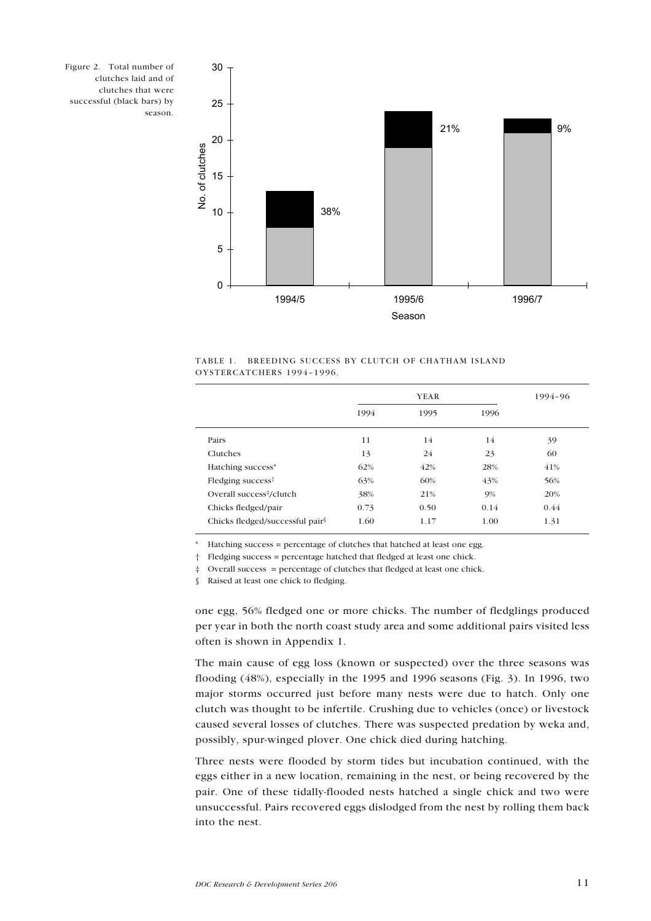



TABLE 1. BREEDING SUCCESS BY CLUTCH OF CHATHAM ISLAND OYSTERCATCHERS 1994-1996.

|                                                  | YEAR |      |      | 1994-96 |
|--------------------------------------------------|------|------|------|---------|
|                                                  | 1994 | 1995 | 1996 |         |
| Pairs                                            | 11   | 14   | 14   | 39      |
| Clutches                                         | 13   | 24   | 23   | 60      |
| Hatching success*                                | 62%  | 42%  | 28%  | 41%     |
| Fledging success <sup><math>\dagger</math></sup> | 63%  | 60%  | 43%  | 56%     |
| Overall success <sup>‡</sup> /clutch             | 38%  | 21%  | 9%   | 20%     |
| Chicks fledged/pair                              | 0.73 | 0.50 | 0.14 | 0.44    |
| Chicks fledged/successful pair <sup>§</sup>      | 1.60 | 1.17 | 1.00 | 1.31    |

Hatching success = percentage of clutches that hatched at least one egg.

 $\ddagger$  Fledging success = percentage hatched that fledged at least one chick.

 $\ddagger$  Overall success = percentage of clutches that fledged at least one chick.

ß Raised at least one chick to fledging.

one egg, 56% fledged one or more chicks. The number of fledglings produced per year in both the north coast study area and some additional pairs visited less often is shown in Appendix 1.

The main cause of egg loss (known or suspected) over the three seasons was flooding (48%), especially in the 1995 and 1996 seasons (Fig. 3). In 1996, two major storms occurred just before many nests were due to hatch. Only one clutch was thought to be infertile. Crushing due to vehicles (once) or livestock caused several losses of clutches. There was suspected predation by weka and, possibly, spur-winged plover. One chick died during hatching.

Three nests were flooded by storm tides but incubation continued, with the eggs either in a new location, remaining in the nest, or being recovered by the pair. One of these tidally-flooded nests hatched a single chick and two were unsuccessful. Pairs recovered eggs dislodged from the nest by rolling them back into the nest.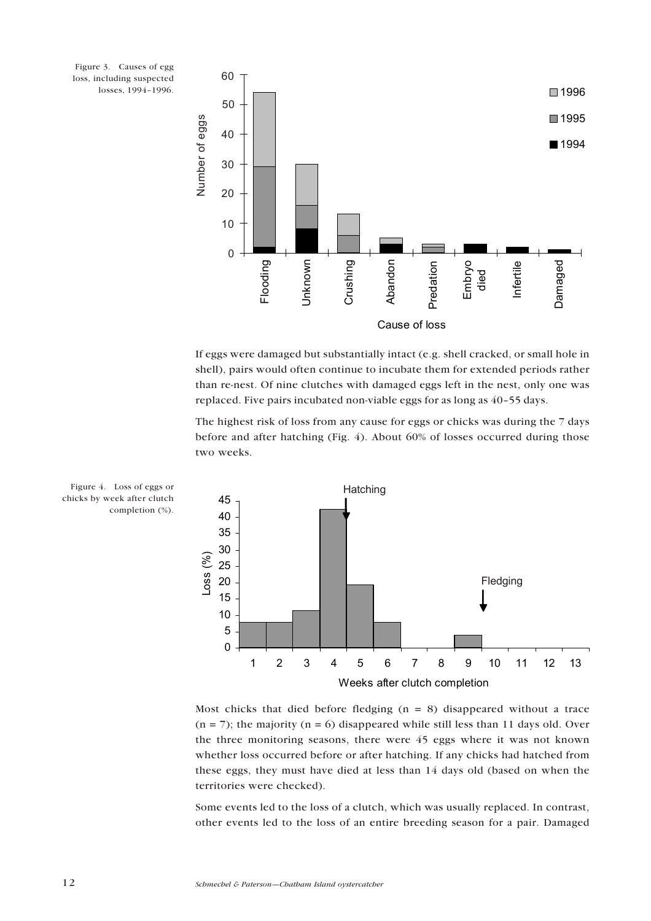Figure 3. Causes of egg loss, including suspected losses, 1994-1996.



If eggs were damaged but substantially intact (e.g. shell cracked, or small hole in shell), pairs would often continue to incubate them for extended periods rather than re-nest. Of nine clutches with damaged eggs left in the nest, only one was replaced. Five pairs incubated non-viable eggs for as long as 40-55 days.

The highest risk of loss from any cause for eggs or chicks was during the 7 days before and after hatching (Fig. 4). About 60% of losses occurred during those two weeks.



Figure 4. Loss of eggs or chicks by week after clutch completion (%).

Most chicks that died before fledging  $(n = 8)$  disappeared without a trace  $(n = 7)$ ; the majority  $(n = 6)$  disappeared while still less than 11 days old. Over the three monitoring seasons, there were 45 eggs where it was not known whether loss occurred before or after hatching. If any chicks had hatched from these eggs, they must have died at less than 14 days old (based on when the territories were checked).

Some events led to the loss of a clutch, which was usually replaced. In contrast, other events led to the loss of an entire breeding season for a pair. Damaged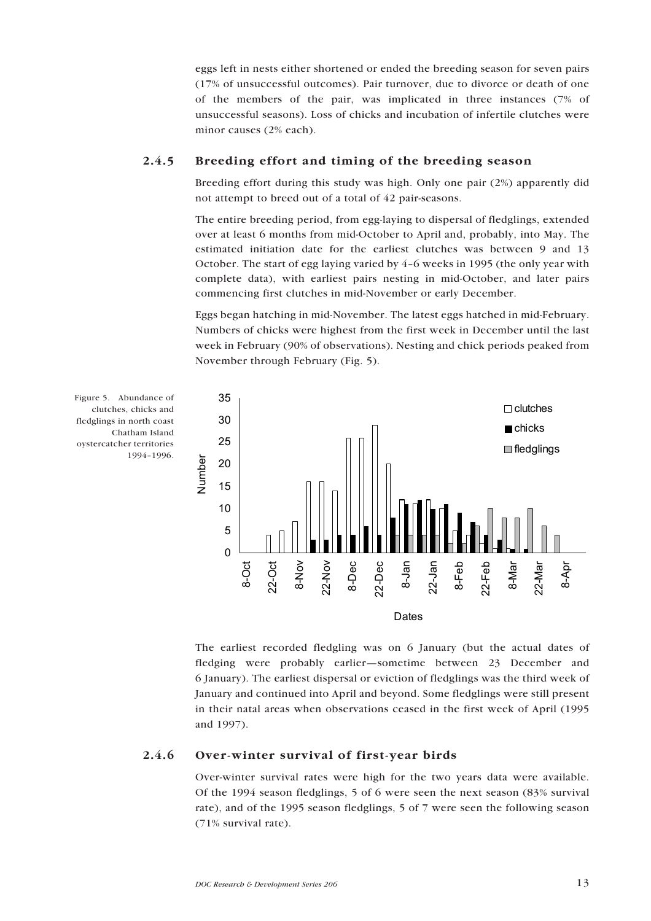<span id="page-12-0"></span>eggs left in nests either shortened or ended the breeding season for seven pairs (17% of unsuccessful outcomes). Pair turnover, due to divorce or death of one of the members of the pair, was implicated in three instances (7% of unsuccessful seasons). Loss of chicks and incubation of infertile clutches were minor causes (2% each).

## 2.4.5 Breeding effort and timing of the breeding season

Breeding effort during this study was high. Only one pair (2%) apparently did not attempt to breed out of a total of 42 pair-seasons.

The entire breeding period, from egg-laying to dispersal of fledglings, extended over at least 6 months from mid-October to April and, probably, into May. The estimated initiation date for the earliest clutches was between 9 and 13 October. The start of egg laying varied by  $4-6$  weeks in 1995 (the only year with complete data), with earliest pairs nesting in mid-October, and later pairs commencing first clutches in mid-November or early December.

Eggs began hatching in mid-November. The latest eggs hatched in mid-February. Numbers of chicks were highest from the first week in December until the last week in February (90% of observations). Nesting and chick periods peaked from November through February (Fig. 5).



Figure 5. Abundance of clutches, chicks and fledglings in north coast Chatham Island oystercatcher territories 1994-1996.

> The earliest recorded fledgling was on 6 January (but the actual dates of fledging were probably earlier–sometime between 23 December and 6 January). The earliest dispersal or eviction of fledglings was the third week of January and continued into April and beyond. Some fledglings were still present in their natal areas when observations ceased in the first week of April (1995 and 1997).

#### 2.4.6 Over-winter survival of first-year birds

Over-winter survival rates were high for the two years data were available. Of the 1994 season fledglings, 5 of 6 were seen the next season (83% survival rate), and of the 1995 season fledglings, 5 of 7 were seen the following season (71% survival rate).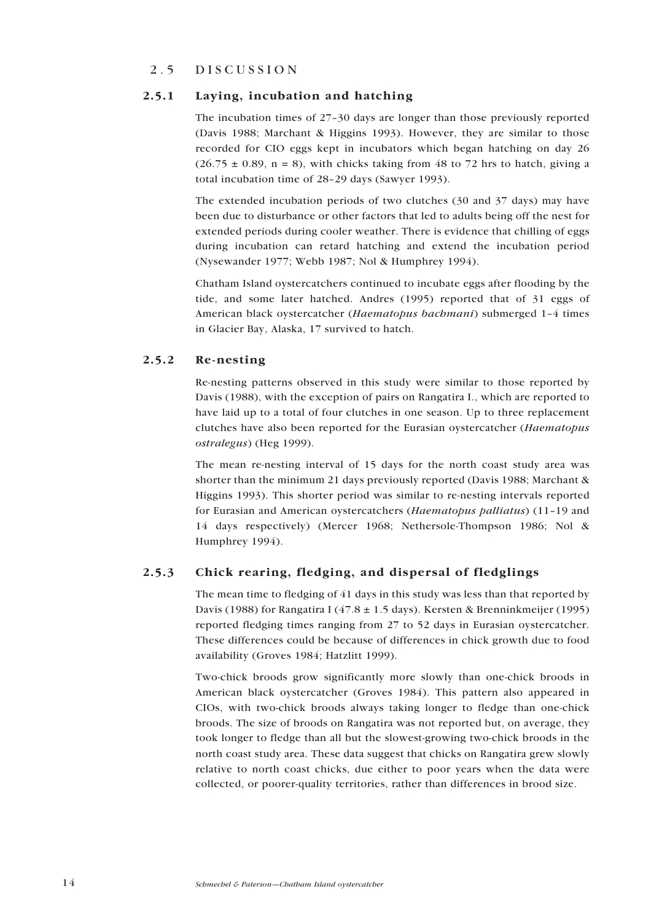## <span id="page-13-0"></span>2.5 DISCUSSION

## 2.5.1 Laying, incubation and hatching

The incubation times of  $27-30$  days are longer than those previously reported (Davis 1988; Marchant & Higgins 1993). However, they are similar to those recorded for CIO eggs kept in incubators which began hatching on day 26  $(26.75 \pm 0.89, n = 8)$ , with chicks taking from 48 to 72 hrs to hatch, giving a total incubation time of 28-29 days (Sawyer 1993).

The extended incubation periods of two clutches (30 and 37 days) may have been due to disturbance or other factors that led to adults being off the nest for extended periods during cooler weather. There is evidence that chilling of eggs during incubation can retard hatching and extend the incubation period (Nysewander 1977; Webb 1987; Nol & Humphrey 1994).

Chatham Island oystercatchers continued to incubate eggs after flooding by the tide, and some later hatched. Andres (1995) reported that of 31 eggs of American black oystercatcher (Haematopus bachmani) submerged 1-4 times in Glacier Bay, Alaska, 17 survived to hatch.

## 2.5.2 Re-nesting

Re-nesting patterns observed in this study were similar to those reported by Davis (1988), with the exception of pairs on Rangatira I., which are reported to have laid up to a total of four clutches in one season. Up to three replacement clutches have also been reported for the Eurasian oystercatcher (Haematopus ostralegus) (Heg 1999).

The mean re-nesting interval of 15 days for the north coast study area was shorter than the minimum 21 days previously reported (Davis 1988; Marchant & Higgins 1993). This shorter period was similar to re-nesting intervals reported for Eurasian and American oystercatchers (Haematopus palliatus) (11-19 and 14 days respectively) (Mercer 1968; Nethersole-Thompson 1986; Nol & Humphrey 1994).

## 2.5.3 Chick rearing, fledging, and dispersal of fledglings

The mean time to fledging of 41 days in this study was less than that reported by Davis (1988) for Rangatira I (47.8  $\pm$  1.5 days). Kersten & Brenninkmeijer (1995) reported fledging times ranging from 27 to 52 days in Eurasian oystercatcher. These differences could be because of differences in chick growth due to food availability (Groves 1984; Hatzlitt 1999).

Two-chick broods grow significantly more slowly than one-chick broods in American black oystercatcher (Groves 1984). This pattern also appeared in CIOs, with two-chick broods always taking longer to fledge than one-chick broods. The size of broods on Rangatira was not reported but, on average, they took longer to fledge than all but the slowest-growing two-chick broods in the north coast study area. These data suggest that chicks on Rangatira grew slowly relative to north coast chicks, due either to poor years when the data were collected, or poorer-quality territories, rather than differences in brood size.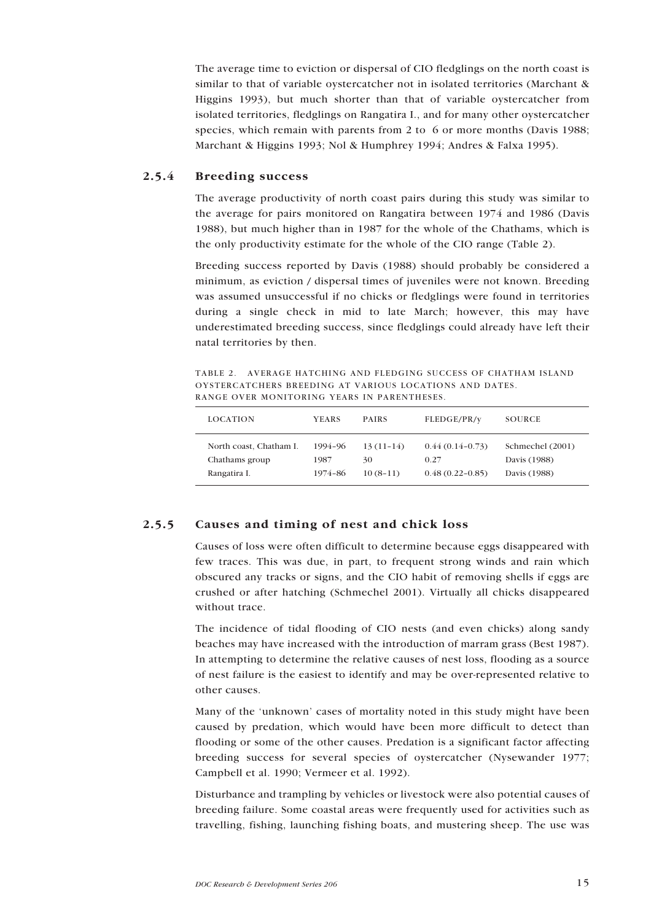<span id="page-14-0"></span>The average time to eviction or dispersal of CIO fledglings on the north coast is similar to that of variable oystercatcher not in isolated territories (Marchant & Higgins 1993), but much shorter than that of variable oystercatcher from isolated territories, fledglings on Rangatira I., and for many other oystercatcher species, which remain with parents from 2 to 6 or more months (Davis 1988; Marchant & Higgins 1993; Nol & Humphrey 1994; Andres & Falxa 1995).

## 2.5.4 Breeding success

The average productivity of north coast pairs during this study was similar to the average for pairs monitored on Rangatira between 1974 and 1986 (Davis 1988), but much higher than in 1987 for the whole of the Chathams, which is the only productivity estimate for the whole of the CIO range (Table 2).

Breeding success reported by Davis (1988) should probably be considered a minimum, as eviction / dispersal times of juveniles were not known. Breeding was assumed unsuccessful if no chicks or fledglings were found in territories during a single check in mid to late March; however, this may have underestimated breeding success, since fledglings could already have left their natal territories by then.

TABLE 2. AVERAGE HATCHING AND FLEDGING SUCCESS OF CHATHAM ISLAND OYSTERCATCHERS BREEDING AT VARIOUS LOCATIONS AND DATES. RANGE OVER MONITORING YEARS IN PARENTHESES.

| <b>LOCATION</b>         | <b>YEARS</b> | <b>PAIRS</b> | FLEDGE/PR/y         | SOURCE           |
|-------------------------|--------------|--------------|---------------------|------------------|
| North coast, Chatham I. | 1994-96      | $13(11-14)$  | $0.44(0.14-0.73)$   | Schmechel (2001) |
| Chathams group          | 1987         | 30           | 0.27                | Davis (1988)     |
| Rangatira I.            | 1974-86      | $10(8-11)$   | $0.48(0.22 - 0.85)$ | Davis (1988)     |

## 2.5.5 Causes and timing of nest and chick loss

Causes of loss were often difficult to determine because eggs disappeared with few traces. This was due, in part, to frequent strong winds and rain which obscured any tracks or signs, and the CIO habit of removing shells if eggs are crushed or after hatching (Schmechel 2001). Virtually all chicks disappeared without trace.

The incidence of tidal flooding of CIO nests (and even chicks) along sandy beaches may have increased with the introduction of marram grass (Best 1987). In attempting to determine the relative causes of nest loss, flooding as a source of nest failure is the easiest to identify and may be over-represented relative to other causes.

Many of the 'unknown' cases of mortality noted in this study might have been caused by predation, which would have been more difficult to detect than flooding or some of the other causes. Predation is a significant factor affecting breeding success for several species of oystercatcher (Nysewander 1977; Campbell et al. 1990; Vermeer et al. 1992).

Disturbance and trampling by vehicles or livestock were also potential causes of breeding failure. Some coastal areas were frequently used for activities such as travelling, fishing, launching fishing boats, and mustering sheep. The use was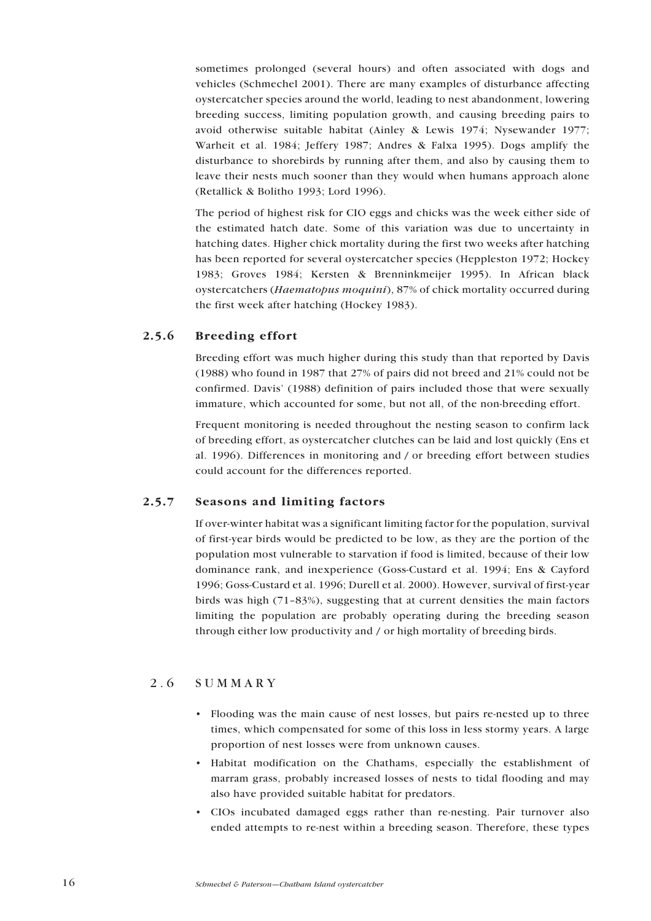<span id="page-15-0"></span>sometimes prolonged (several hours) and often associated with dogs and vehicles (Schmechel 2001). There are many examples of disturbance affecting oystercatcher species around the world, leading to nest abandonment, lowering breeding success, limiting population growth, and causing breeding pairs to avoid otherwise suitable habitat (Ainley & Lewis 1974; Nysewander 1977; Warheit et al. 1984; Jeffery 1987; Andres & Falxa 1995). Dogs amplify the disturbance to shorebirds by running after them, and also by causing them to leave their nests much sooner than they would when humans approach alone (Retallick & Bolitho 1993; Lord 1996).

The period of highest risk for CIO eggs and chicks was the week either side of the estimated hatch date. Some of this variation was due to uncertainty in hatching dates. Higher chick mortality during the first two weeks after hatching has been reported for several oystercatcher species (Heppleston 1972; Hockey 1983; Groves 1984; Kersten & Brenninkmeijer 1995). In African black oystercatchers (Haematopus moquini), 87% of chick mortality occurred during the first week after hatching (Hockey 1983).

## 2.5.6 Breeding effort

Breeding effort was much higher during this study than that reported by Davis (1988) who found in 1987 that 27% of pairs did not breed and 21% could not be confirmed. Davis' (1988) definition of pairs included those that were sexually immature, which accounted for some, but not all, of the non-breeding effort.

Frequent monitoring is needed throughout the nesting season to confirm lack of breeding effort, as oystercatcher clutches can be laid and lost quickly (Ens et al. 1996). Differences in monitoring and / or breeding effort between studies could account for the differences reported.

## 2.5.7 Seasons and limiting factors

If over-winter habitat was a significant limiting factor for the population, survival of first-year birds would be predicted to be low, as they are the portion of the population most vulnerable to starvation if food is limited, because of their low dominance rank, and inexperience (Goss-Custard et al. 1994; Ens & Cayford 1996; Goss-Custard et al. 1996; Durell et al. 2000). However, survival of first-year birds was high  $(71-83%)$ , suggesting that at current densities the main factors limiting the population are probably operating during the breeding season through either low productivity and / or high mortality of breeding birds.

## 2.6 SUMMARY

- Flooding was the main cause of nest losses, but pairs re-nested up to three times, which compensated for some of this loss in less stormy years. A large proportion of nest losses were from unknown causes.
- ï Habitat modification on the Chathams, especially the establishment of marram grass, probably increased losses of nests to tidal flooding and may also have provided suitable habitat for predators.
- ï CIOs incubated damaged eggs rather than re-nesting. Pair turnover also ended attempts to re-nest within a breeding season. Therefore, these types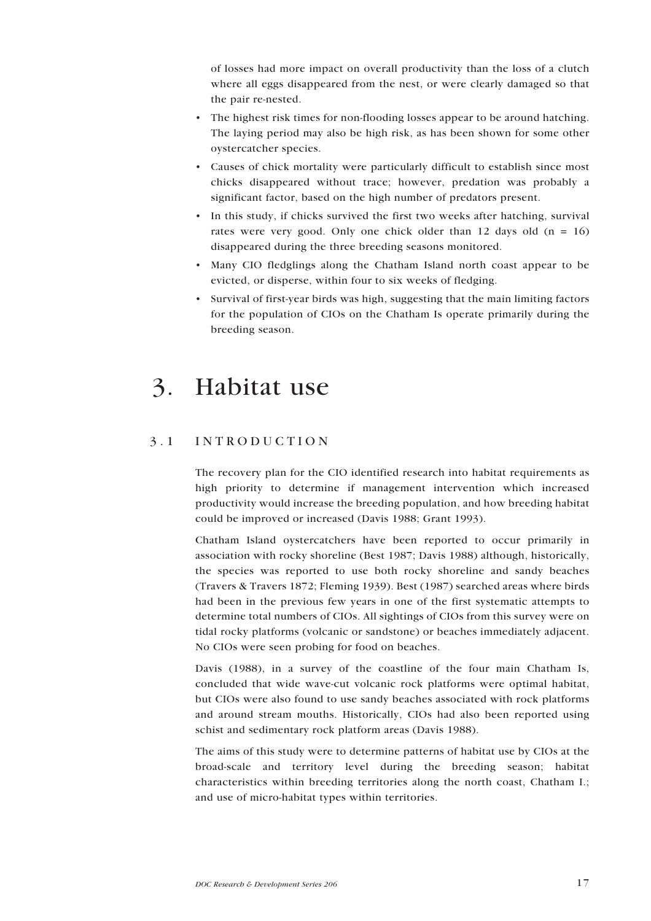<span id="page-16-0"></span>of losses had more impact on overall productivity than the loss of a clutch where all eggs disappeared from the nest, or were clearly damaged so that the pair re-nested.

- The highest risk times for non-flooding losses appear to be around hatching. The laying period may also be high risk, as has been shown for some other oystercatcher species.
- ï Causes of chick mortality were particularly difficult to establish since most chicks disappeared without trace; however, predation was probably a significant factor, based on the high number of predators present.
- In this study, if chicks survived the first two weeks after hatching, survival rates were very good. Only one chick older than 12 days old  $(n = 16)$ disappeared during the three breeding seasons monitored.
- ï Many CIO fledglings along the Chatham Island north coast appear to be evicted, or disperse, within four to six weeks of fledging.
- ï Survival of first-year birds was high, suggesting that the main limiting factors for the population of CIOs on the Chatham Is operate primarily during the breeding season.

## 3. Habitat use

## 3.1 INTRODUCTION

The recovery plan for the CIO identified research into habitat requirements as high priority to determine if management intervention which increased productivity would increase the breeding population, and how breeding habitat could be improved or increased (Davis 1988; Grant 1993).

Chatham Island oystercatchers have been reported to occur primarily in association with rocky shoreline (Best 1987; Davis 1988) although, historically, the species was reported to use both rocky shoreline and sandy beaches (Travers & Travers 1872; Fleming 1939). Best (1987) searched areas where birds had been in the previous few years in one of the first systematic attempts to determine total numbers of CIOs. All sightings of CIOs from this survey were on tidal rocky platforms (volcanic or sandstone) or beaches immediately adjacent. No CIOs were seen probing for food on beaches.

Davis (1988), in a survey of the coastline of the four main Chatham Is, concluded that wide wave-cut volcanic rock platforms were optimal habitat, but CIOs were also found to use sandy beaches associated with rock platforms and around stream mouths. Historically, CIOs had also been reported using schist and sedimentary rock platform areas (Davis 1988).

The aims of this study were to determine patterns of habitat use by CIOs at the broad-scale and territory level during the breeding season; habitat characteristics within breeding territories along the north coast, Chatham I.; and use of micro-habitat types within territories.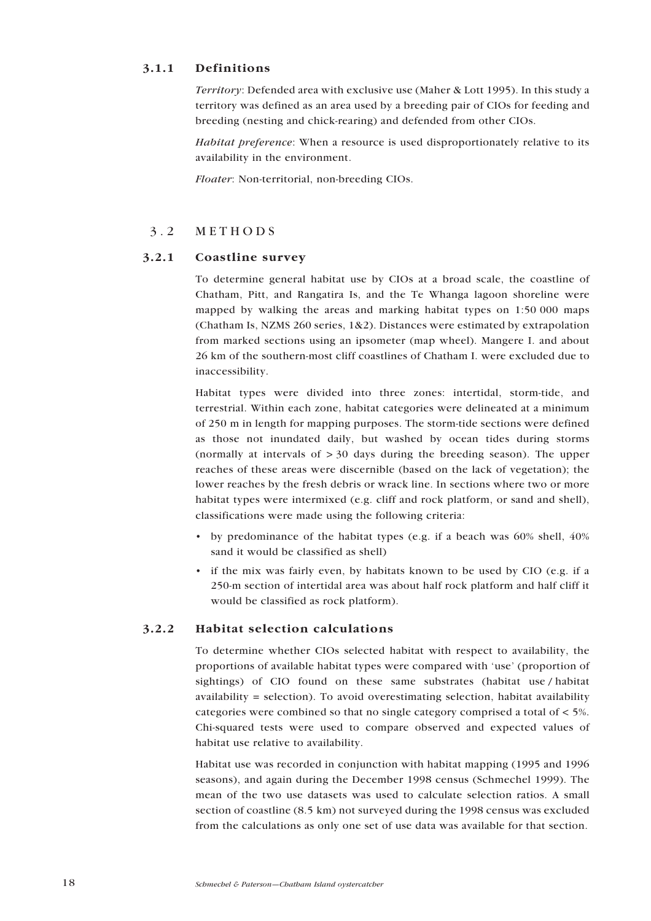## <span id="page-17-0"></span>3.1.1 Definitions

Territory: Defended area with exclusive use (Maher & Lott 1995). In this study a territory was defined as an area used by a breeding pair of CIOs for feeding and breeding (nesting and chick-rearing) and defended from other CIOs.

Habitat preference: When a resource is used disproportionately relative to its availability in the environment.

Floater: Non-territorial, non-breeding CIOs.

## 3.2 METHODS

## 3.2.1 Coastline survey

To determine general habitat use by CIOs at a broad scale, the coastline of Chatham, Pitt, and Rangatira Is, and the Te Whanga lagoon shoreline were mapped by walking the areas and marking habitat types on 1:50 000 maps (Chatham Is, NZMS 260 series, 1&2). Distances were estimated by extrapolation from marked sections using an ipsometer (map wheel). Mangere I. and about 26 km of the southern-most cliff coastlines of Chatham I. were excluded due to inaccessibility.

Habitat types were divided into three zones: intertidal, storm-tide, and terrestrial. Within each zone, habitat categories were delineated at a minimum of 250 m in length for mapping purposes. The storm-tide sections were defined as those not inundated daily, but washed by ocean tides during storms (normally at intervals of  $>$  30 days during the breeding season). The upper reaches of these areas were discernible (based on the lack of vegetation); the lower reaches by the fresh debris or wrack line. In sections where two or more habitat types were intermixed (e.g. cliff and rock platform, or sand and shell), classifications were made using the following criteria:

- by predominance of the habitat types (e.g. if a beach was  $60\%$  shell,  $40\%$ sand it would be classified as shell)
- if the mix was fairly even, by habitats known to be used by CIO (e.g. if a 250-m section of intertidal area was about half rock platform and half cliff it would be classified as rock platform).

## 3.2.2 Habitat selection calculations

To determine whether CIOs selected habitat with respect to availability, the proportions of available habitat types were compared with 'use' (proportion of sightings) of CIO found on these same substrates (habitat use / habitat availability = selection). To avoid overestimating selection, habitat availability categories were combined so that no single category comprised a total of < 5%. Chi-squared tests were used to compare observed and expected values of habitat use relative to availability.

Habitat use was recorded in conjunction with habitat mapping (1995 and 1996 seasons), and again during the December 1998 census (Schmechel 1999). The mean of the two use datasets was used to calculate selection ratios. A small section of coastline (8.5 km) not surveyed during the 1998 census was excluded from the calculations as only one set of use data was available for that section.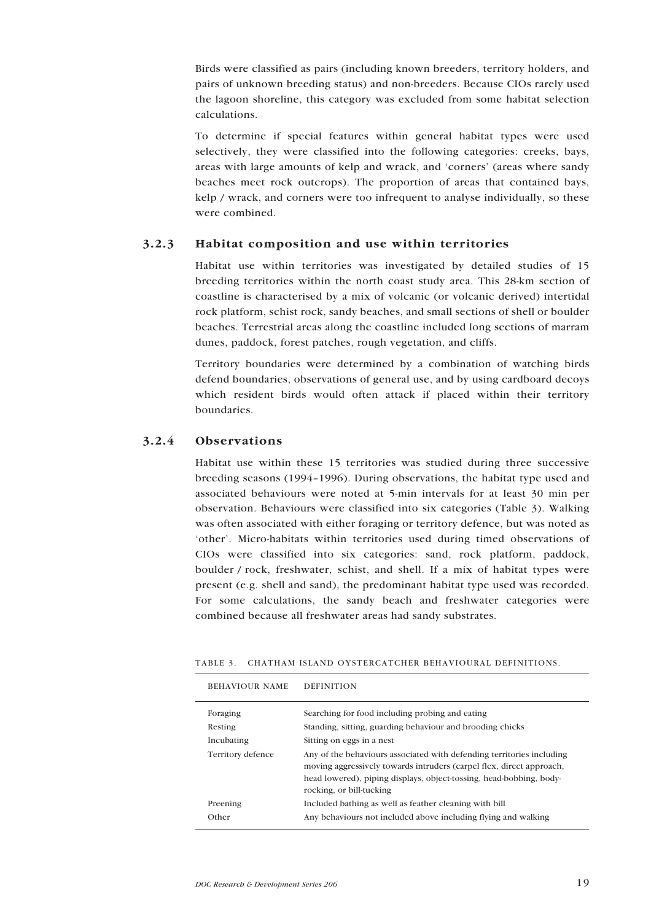<span id="page-18-0"></span>Birds were classified as pairs (including known breeders, territory holders, and pairs of unknown breeding status) and non-breeders. Because CIOs rarely used the lagoon shoreline, this category was excluded from some habitat selection calculations.

To determine if special features within general habitat types were used selectively, they were classified into the following categories: creeks, bays, areas with large amounts of kelp and wrack, and 'corners' (areas where sandy beaches meet rock outcrops). The proportion of areas that contained bays, kelp / wrack, and corners were too infrequent to analyse individually, so these were combined.

## 3.2.3 Habitat composition and use within territories

Habitat use within territories was investigated by detailed studies of 15 breeding territories within the north coast study area. This 28-km section of coastline is characterised by a mix of volcanic (or volcanic derived) intertidal rock platform, schist rock, sandy beaches, and small sections of shell or boulder beaches. Terrestrial areas along the coastline included long sections of marram dunes, paddock, forest patches, rough vegetation, and cliffs.

Territory boundaries were determined by a combination of watching birds defend boundaries, observations of general use, and by using cardboard decoys which resident birds would often attack if placed within their territory boundaries.

## 3.2.4 Observations

Habitat use within these 15 territories was studied during three successive breeding seasons (1994–1996). During observations, the habitat type used and associated behaviours were noted at 5-min intervals for at least 30 min per observation. Behaviours were classified into six categories (Table 3). Walking was often associated with either foraging or territory defence, but was noted as ëotherí. Micro-habitats within territories used during timed observations of CIOs were classified into six categories: sand, rock platform, paddock, boulder / rock, freshwater, schist, and shell. If a mix of habitat types were present (e.g. shell and sand), the predominant habitat type used was recorded. For some calculations, the sandy beach and freshwater categories were combined because all freshwater areas had sandy substrates.

| TABLE 3. CHATHAM ISLAND OYSTERCATCHER BEHAVIOURAL DEFINITIONS. |  |  |
|----------------------------------------------------------------|--|--|
|                                                                |  |  |

| <b>BEHAVIOUR NAME</b> | <b>DEFINITION</b>                                                                                                                                                                                                                                |
|-----------------------|--------------------------------------------------------------------------------------------------------------------------------------------------------------------------------------------------------------------------------------------------|
| Foraging              | Searching for food including probing and eating                                                                                                                                                                                                  |
| Resting               | Standing, sitting, guarding behaviour and brooding chicks                                                                                                                                                                                        |
| Incubating            | Sitting on eggs in a nest                                                                                                                                                                                                                        |
| Territory defence     | Any of the behaviours associated with defending territories including<br>moving aggressively towards intruders (carpel flex, direct approach,<br>head lowered), piping displays, object-tossing, head-bobbing, body-<br>rocking, or bill-tucking |
| Preening              | Included bathing as well as feather cleaning with bill                                                                                                                                                                                           |
| Other                 | Any behaviours not included above including flying and walking                                                                                                                                                                                   |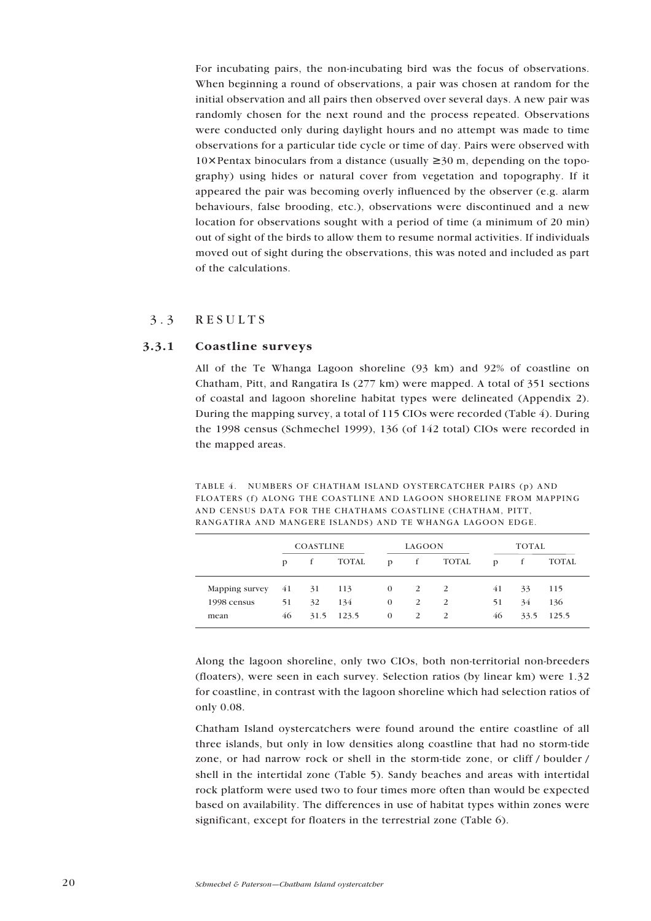<span id="page-19-0"></span>For incubating pairs, the non-incubating bird was the focus of observations. When beginning a round of observations, a pair was chosen at random for the initial observation and all pairs then observed over several days. A new pair was randomly chosen for the next round and the process repeated. Observations were conducted only during daylight hours and no attempt was made to time observations for a particular tide cycle or time of day. Pairs were observed with  $10\times$  Pentax binoculars from a distance (usually  $\geq 30$  m, depending on the topography) using hides or natural cover from vegetation and topography. If it appeared the pair was becoming overly influenced by the observer (e.g. alarm behaviours, false brooding, etc.), observations were discontinued and a new location for observations sought with a period of time (a minimum of 20 min) out of sight of the birds to allow them to resume normal activities. If individuals moved out of sight during the observations, this was noted and included as part of the calculations.

## 3.3 RESULTS

#### 3.3.1 Coastline surveys

All of the Te Whanga Lagoon shoreline (93 km) and 92% of coastline on Chatham, Pitt, and Rangatira Is (277 km) were mapped. A total of 351 sections of coastal and lagoon shoreline habitat types were delineated (Appendix 2). During the mapping survey, a total of 115 CIOs were recorded (Table 4). During the 1998 census (Schmechel 1999), 136 (of 142 total) CIOs were recorded in the mapped areas.

TABLE 4. NUMBERS OF CHATHAM ISLAND OYSTERCATCHER PAIRS (p) AND FLOATERS (f) ALONG THE COASTLINE AND LAGOON SHORELINE FROM MAPPING AND CENSUS DATA FOR THE CHATHAMS COASTLINE (CHATHAM, PITT, RANGATIRA AND MANGERE ISLANDS) AND TE WHANGA LAGOON EDGE.

|                | <b>COASTLINE</b> |    |            | LAGOON       |              |              | TOTAL |      |       |
|----------------|------------------|----|------------|--------------|--------------|--------------|-------|------|-------|
|                | D                |    | TOTAL      | $\mathbf{D}$ | f            | TOTAL        | D     |      | TOTAL |
| Mapping survey | 41 31            |    | 113        | $\Omega$     | <sup>2</sup> | <sup>2</sup> | 41    | 33   | 115   |
| 1998 census    | 51               | 32 | 134        | $\mathbf{0}$ | <sup>2</sup> | 2            | 51    | 34   | 136   |
| mean           | 46               |    | 31.5 123.5 | $\theta$     | 2            |              | 46    | 33.5 | 125.5 |

Along the lagoon shoreline, only two CIOs, both non-territorial non-breeders (floaters), were seen in each survey. Selection ratios (by linear km) were 1.32 for coastline, in contrast with the lagoon shoreline which had selection ratios of only 0.08.

Chatham Island oystercatchers were found around the entire coastline of all three islands, but only in low densities along coastline that had no storm-tide zone, or had narrow rock or shell in the storm-tide zone, or cliff / boulder / shell in the intertidal zone (Table 5). Sandy beaches and areas with intertidal rock platform were used two to four times more often than would be expected based on availability. The differences in use of habitat types within zones were significant, except for floaters in the terrestrial zone (Table 6).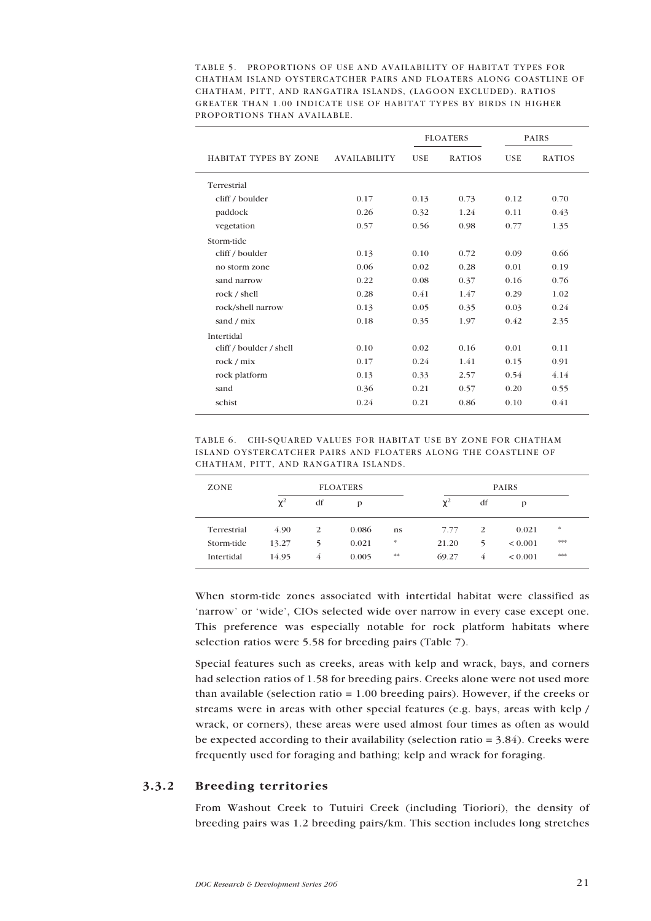<span id="page-20-0"></span>TABLE 5. PROPORTIONS OF USE AND AVAILABILITY OF HABITAT TYPES FOR CHATHAM ISLAND OYSTERCATCHER PAIRS AND FLOATERS ALONG COASTLINE OF CHATHAM, PITT, AND RANGATIRA ISLANDS, (LAGOON EXCLUDED). RATIOS GREATER THAN 1.00 INDICATE USE OF HABITAT TYPES BY BIRDS IN HIGHER PROPORTIONS THAN AVAILABLE.

|                              |                     | <b>FLOATERS</b> |               | <b>PAIRS</b> |               |
|------------------------------|---------------------|-----------------|---------------|--------------|---------------|
| <b>HABITAT TYPES BY ZONE</b> | <b>AVAILABILITY</b> | <b>USE</b>      | <b>RATIOS</b> | <b>USE</b>   | <b>RATIOS</b> |
| Terrestrial                  |                     |                 |               |              |               |
| cliff / boulder              | 0.17                | 0.13            | 0.73          | 0.12         | 0.70          |
| paddock                      | 0.26                | 0.32            | 1.24          | 0.11         | 0.43          |
| vegetation                   | 0.57                | 0.56            | 0.98          | 0.77         | 1.35          |
| Storm-tide                   |                     |                 |               |              |               |
| cliff / boulder              | 0.13                | 0.10            | 0.72          | 0.09         | 0.66          |
| no storm zone                | 0.06                | 0.02            | 0.28          | 0.01         | 0.19          |
| sand narrow                  | 0.22                | 0.08            | 0.37          | 0.16         | 0.76          |
| rock / shell                 | 0.28                | 0.41            | 1.47          | 0.29         | 1.02          |
| rock/shell narrow            | 0.13                | 0.05            | 0.35          | 0.03         | 0.24          |
| sand / mix                   | 0.18                | 0.35            | 1.97          | 0.42         | 2.35          |
| Intertidal                   |                     |                 |               |              |               |
| cliff / boulder / shell      | 0.10                | 0.02            | 0.16          | 0.01         | 0.11          |
| rock / mix                   | 0.17                | 0.24            | 1.41          | 0.15         | 0.91          |
| rock platform                | 0.13                | 0.33            | 2.57          | 0.54         | 4.14          |
| sand                         | 0.36                | 0.21            | 0.57          | 0.20         | 0.55          |
| schist                       | 0.24                | 0.21            | 0.86          | 0.10         | 0.41          |

TABLE 6. CHI-SQUARED VALUES FOR HABITAT USE BY ZONE FOR CHATHAM ISLAND OYSTERCATCHER PAIRS AND FLOATERS ALONG THE COASTLINE OF CHATHAM, PITT, AND RANGATIRA ISLANDS.

| ZONE        | <b>FLOATERS</b> |    |       |         | <b>PAIRS</b> |    |              |     |
|-------------|-----------------|----|-------|---------|--------------|----|--------------|-----|
|             | $\chi^2$        | df | D     |         | $\chi^2$     | df | р            |     |
| Terrestrial | 4.90            | 2  | 0.086 | ns      | 7.77         | 2  | 0.021        | *   |
| Storm-tide  | 13.27           | 5  | 0.021 | *       | 21.20        | 5  | ${}_{0.001}$ | *** |
| Intertidal  | 14.95           | 4  | 0.005 | $\pm 1$ | 69.27        | 4  | ${}_{0.001}$ | *** |

When storm-tide zones associated with intertidal habitat were classified as ënarrowí or ëwideí, CIOs selected wide over narrow in every case except one. This preference was especially notable for rock platform habitats where selection ratios were 5.58 for breeding pairs (Table 7).

Special features such as creeks, areas with kelp and wrack, bays, and corners had selection ratios of 1.58 for breeding pairs. Creeks alone were not used more than available (selection ratio  $= 1.00$  breeding pairs). However, if the creeks or streams were in areas with other special features (e.g. bays, areas with kelp / wrack, or corners), these areas were used almost four times as often as would be expected according to their availability (selection ratio  $= 3.84$ ). Creeks were frequently used for foraging and bathing; kelp and wrack for foraging.

#### 3.3.2 Breeding territories

From Washout Creek to Tutuiri Creek (including Tioriori), the density of breeding pairs was 1.2 breeding pairs/km. This section includes long stretches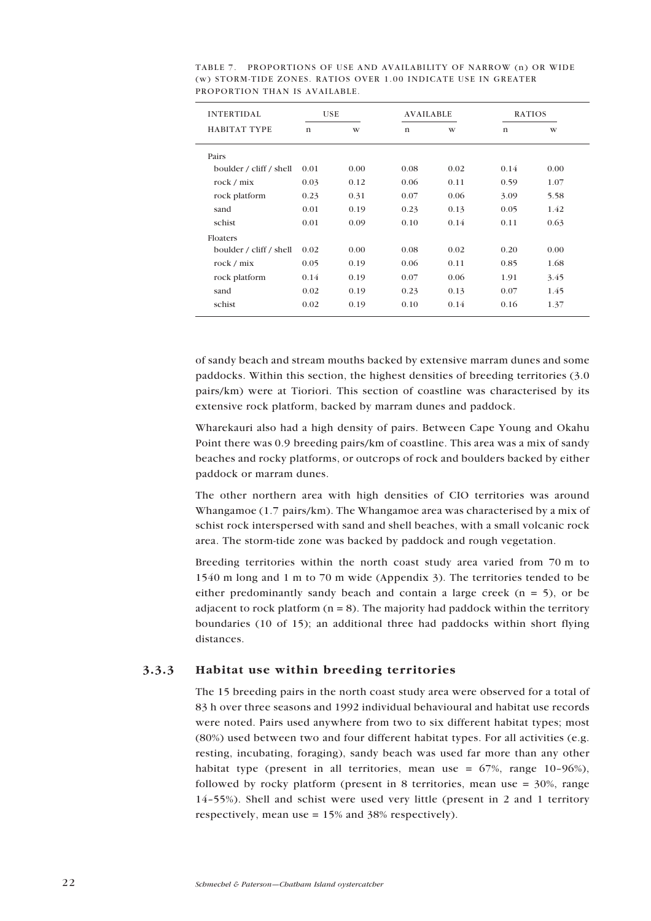| <b>INTERTIDAL</b>       | <b>USE</b>   |      |             | <b>AVAILABLE</b> |      | <b>RATIOS</b> |
|-------------------------|--------------|------|-------------|------------------|------|---------------|
| <b>HABITAT TYPE</b>     | $\mathbf{n}$ | W    | $\mathbf n$ | W                | n    | W             |
| Pairs                   |              |      |             |                  |      |               |
| boulder / cliff / shell | 0.01         | 0.00 | 0.08        | 0.02             | 0.14 | 0.00          |
| rock / mix              | 0.03         | 0.12 | 0.06        | 0.11             | 0.59 | 1.07          |
| rock platform           | 0.23         | 0.31 | 0.07        | 0.06             | 3.09 | 5.58          |
| sand                    | 0.01         | 0.19 | 0.23        | 0.13             | 0.05 | 1.42          |
| schist                  | 0.01         | 0.09 | 0.10        | 0.14             | 0.11 | 0.63          |
| Floaters                |              |      |             |                  |      |               |
| boulder / cliff / shell | 0.02         | 0.00 | 0.08        | 0.02             | 0.20 | 0.00          |
| rock / mix              | 0.05         | 0.19 | 0.06        | 0.11             | 0.85 | 1.68          |
| rock platform           | 0.14         | 0.19 | 0.07        | 0.06             | 1.91 | 3.45          |
| sand                    | 0.02         | 0.19 | 0.23        | 0.13             | 0.07 | 1.45          |
| schist                  | 0.02         | 0.19 | 0.10        | 0.14             | 0.16 | 1.37          |

<span id="page-21-0"></span>TABLE 7. PROPORTIONS OF USE AND AVAILABILITY OF NARROW (n) OR WIDE (w) STORM-TIDE ZONES. RATIOS OVER 1.00 INDICATE USE IN GREATER PROPORTION THAN IS AVAILABLE.

of sandy beach and stream mouths backed by extensive marram dunes and some paddocks. Within this section, the highest densities of breeding territories (3.0 pairs/km) were at Tioriori. This section of coastline was characterised by its extensive rock platform, backed by marram dunes and paddock.

Wharekauri also had a high density of pairs. Between Cape Young and Okahu Point there was 0.9 breeding pairs/km of coastline. This area was a mix of sandy beaches and rocky platforms, or outcrops of rock and boulders backed by either paddock or marram dunes.

The other northern area with high densities of CIO territories was around Whangamoe (1.7 pairs/km). The Whangamoe area was characterised by a mix of schist rock interspersed with sand and shell beaches, with a small volcanic rock area. The storm-tide zone was backed by paddock and rough vegetation.

Breeding territories within the north coast study area varied from 70 m to 1540 m long and 1 m to 70 m wide (Appendix 3). The territories tended to be either predominantly sandy beach and contain a large creek  $(n = 5)$ , or be adjacent to rock platform  $(n = 8)$ . The majority had paddock within the territory boundaries (10 of 15); an additional three had paddocks within short flying distances.

#### 3.3.3 Habitat use within breeding territories

The 15 breeding pairs in the north coast study area were observed for a total of 83 h over three seasons and 1992 individual behavioural and habitat use records were noted. Pairs used anywhere from two to six different habitat types; most (80%) used between two and four different habitat types. For all activities (e.g. resting, incubating, foraging), sandy beach was used far more than any other habitat type (present in all territories, mean use =  $67\%$ , range 10-96%), followed by rocky platform (present in 8 territories, mean use  $=$  30%, range 14-55%). Shell and schist were used very little (present in 2 and 1 territory respectively, mean use = 15% and 38% respectively).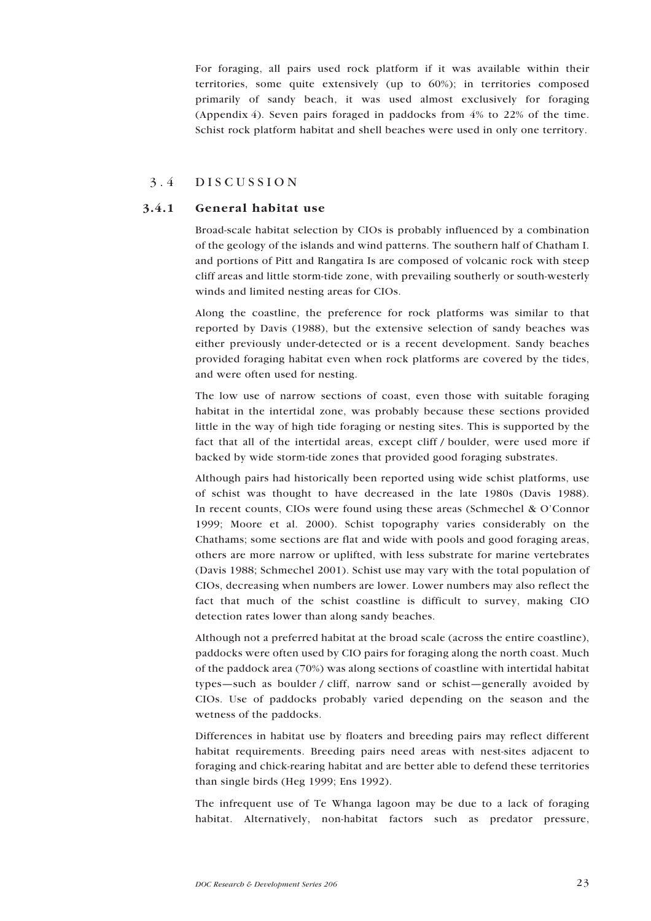<span id="page-22-0"></span>For foraging, all pairs used rock platform if it was available within their territories, some quite extensively (up to 60%); in territories composed primarily of sandy beach, it was used almost exclusively for foraging (Appendix 4). Seven pairs foraged in paddocks from 4% to 22% of the time. Schist rock platform habitat and shell beaches were used in only one territory.

## 3.4 DISCUSSION

#### 3.4.1 General habitat use

Broad-scale habitat selection by CIOs is probably influenced by a combination of the geology of the islands and wind patterns. The southern half of Chatham I. and portions of Pitt and Rangatira Is are composed of volcanic rock with steep cliff areas and little storm-tide zone, with prevailing southerly or south-westerly winds and limited nesting areas for CIOs.

Along the coastline, the preference for rock platforms was similar to that reported by Davis (1988), but the extensive selection of sandy beaches was either previously under-detected or is a recent development. Sandy beaches provided foraging habitat even when rock platforms are covered by the tides, and were often used for nesting.

The low use of narrow sections of coast, even those with suitable foraging habitat in the intertidal zone, was probably because these sections provided little in the way of high tide foraging or nesting sites. This is supported by the fact that all of the intertidal areas, except cliff / boulder, were used more if backed by wide storm-tide zones that provided good foraging substrates.

Although pairs had historically been reported using wide schist platforms, use of schist was thought to have decreased in the late 1980s (Davis 1988). In recent counts, CIOs were found using these areas (Schmechel  $\&$  O'Connor 1999; Moore et al. 2000). Schist topography varies considerably on the Chathams; some sections are flat and wide with pools and good foraging areas, others are more narrow or uplifted, with less substrate for marine vertebrates (Davis 1988; Schmechel 2001). Schist use may vary with the total population of CIOs, decreasing when numbers are lower. Lower numbers may also reflect the fact that much of the schist coastline is difficult to survey, making CIO detection rates lower than along sandy beaches.

Although not a preferred habitat at the broad scale (across the entire coastline), paddocks were often used by CIO pairs for foraging along the north coast. Much of the paddock area (70%) was along sections of coastline with intertidal habitat types—such as boulder / cliff, narrow sand or schist—generally avoided by CIOs. Use of paddocks probably varied depending on the season and the wetness of the paddocks.

Differences in habitat use by floaters and breeding pairs may reflect different habitat requirements. Breeding pairs need areas with nest-sites adjacent to foraging and chick-rearing habitat and are better able to defend these territories than single birds (Heg 1999; Ens 1992).

The infrequent use of Te Whanga lagoon may be due to a lack of foraging habitat. Alternatively, non-habitat factors such as predator pressure,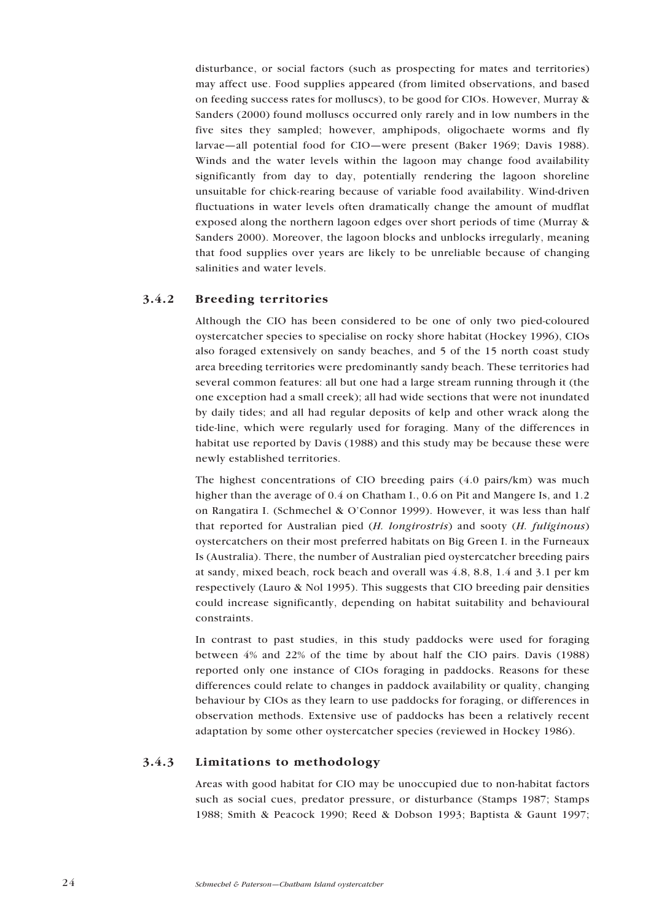<span id="page-23-0"></span>disturbance, or social factors (such as prospecting for mates and territories) may affect use. Food supplies appeared (from limited observations, and based on feeding success rates for molluscs), to be good for CIOs. However, Murray & Sanders (2000) found molluscs occurred only rarely and in low numbers in the five sites they sampled; however, amphipods, oligochaete worms and fly larvae-all potential food for CIO-were present (Baker 1969; Davis 1988). Winds and the water levels within the lagoon may change food availability significantly from day to day, potentially rendering the lagoon shoreline unsuitable for chick-rearing because of variable food availability. Wind-driven fluctuations in water levels often dramatically change the amount of mudflat exposed along the northern lagoon edges over short periods of time (Murray & Sanders 2000). Moreover, the lagoon blocks and unblocks irregularly, meaning that food supplies over years are likely to be unreliable because of changing salinities and water levels.

## 3.4.2 Breeding territories

Although the CIO has been considered to be one of only two pied-coloured oystercatcher species to specialise on rocky shore habitat (Hockey 1996), CIOs also foraged extensively on sandy beaches, and 5 of the 15 north coast study area breeding territories were predominantly sandy beach. These territories had several common features: all but one had a large stream running through it (the one exception had a small creek); all had wide sections that were not inundated by daily tides; and all had regular deposits of kelp and other wrack along the tide-line, which were regularly used for foraging. Many of the differences in habitat use reported by Davis (1988) and this study may be because these were newly established territories.

The highest concentrations of CIO breeding pairs (4.0 pairs/km) was much higher than the average of 0.4 on Chatham I., 0.6 on Pit and Mangere Is, and 1.2 on Rangatira I. (Schmechel & O'Connor 1999). However, it was less than half that reported for Australian pied (H. longirostris) and sooty (H. fuliginous) oystercatchers on their most preferred habitats on Big Green I. in the Furneaux Is (Australia). There, the number of Australian pied oystercatcher breeding pairs at sandy, mixed beach, rock beach and overall was 4.8, 8.8, 1.4 and 3.1 per km respectively (Lauro & Nol 1995). This suggests that CIO breeding pair densities could increase significantly, depending on habitat suitability and behavioural constraints.

In contrast to past studies, in this study paddocks were used for foraging between 4% and 22% of the time by about half the CIO pairs. Davis (1988) reported only one instance of CIOs foraging in paddocks. Reasons for these differences could relate to changes in paddock availability or quality, changing behaviour by CIOs as they learn to use paddocks for foraging, or differences in observation methods. Extensive use of paddocks has been a relatively recent adaptation by some other oystercatcher species (reviewed in Hockey 1986).

## 3.4.3 Limitations to methodology

Areas with good habitat for CIO may be unoccupied due to non-habitat factors such as social cues, predator pressure, or disturbance (Stamps 1987; Stamps 1988; Smith & Peacock 1990; Reed & Dobson 1993; Baptista & Gaunt 1997;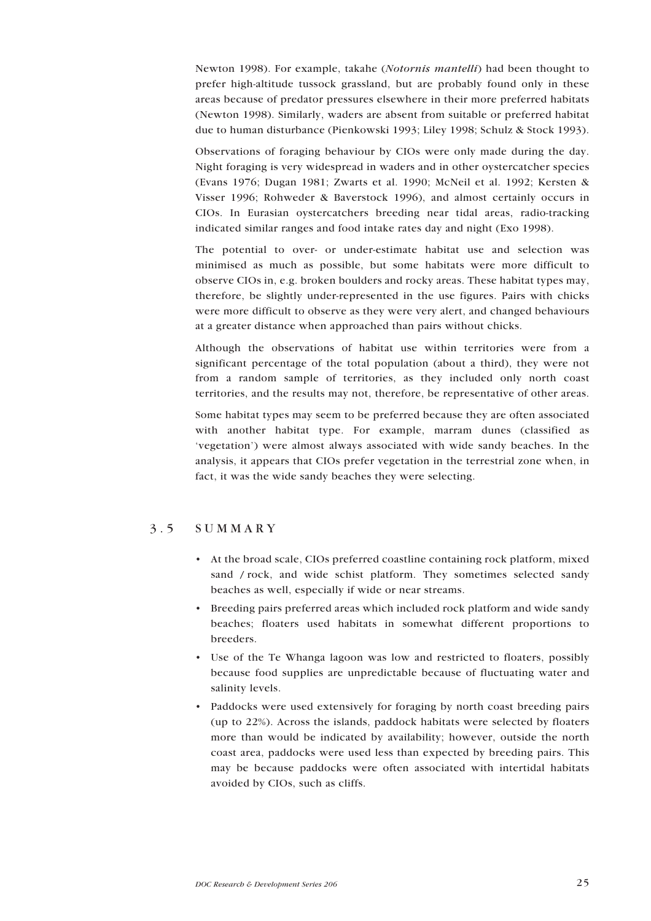<span id="page-24-0"></span>Newton 1998). For example, takahe (Notornis mantelli) had been thought to prefer high-altitude tussock grassland, but are probably found only in these areas because of predator pressures elsewhere in their more preferred habitats (Newton 1998). Similarly, waders are absent from suitable or preferred habitat due to human disturbance (Pienkowski 1993; Liley 1998; Schulz & Stock 1993).

Observations of foraging behaviour by CIOs were only made during the day. Night foraging is very widespread in waders and in other oystercatcher species (Evans 1976; Dugan 1981; Zwarts et al. 1990; McNeil et al. 1992; Kersten & Visser 1996; Rohweder & Baverstock 1996), and almost certainly occurs in CIOs. In Eurasian oystercatchers breeding near tidal areas, radio-tracking indicated similar ranges and food intake rates day and night (Exo 1998).

The potential to over- or under-estimate habitat use and selection was minimised as much as possible, but some habitats were more difficult to observe CIOs in, e.g. broken boulders and rocky areas. These habitat types may, therefore, be slightly under-represented in the use figures. Pairs with chicks were more difficult to observe as they were very alert, and changed behaviours at a greater distance when approached than pairs without chicks.

Although the observations of habitat use within territories were from a significant percentage of the total population (about a third), they were not from a random sample of territories, as they included only north coast territories, and the results may not, therefore, be representative of other areas.

Some habitat types may seem to be preferred because they are often associated with another habitat type. For example, marram dunes (classified as 'vegetation') were almost always associated with wide sandy beaches. In the analysis, it appears that CIOs prefer vegetation in the terrestrial zone when, in fact, it was the wide sandy beaches they were selecting.

#### 3.5 SUMMARY

- ï At the broad scale, CIOs preferred coastline containing rock platform, mixed sand / rock, and wide schist platform. They sometimes selected sandy beaches as well, especially if wide or near streams.
- Breeding pairs preferred areas which included rock platform and wide sandy beaches; floaters used habitats in somewhat different proportions to breeders.
- Use of the Te Whanga lagoon was low and restricted to floaters, possibly because food supplies are unpredictable because of fluctuating water and salinity levels.
- Paddocks were used extensively for foraging by north coast breeding pairs (up to 22%). Across the islands, paddock habitats were selected by floaters more than would be indicated by availability; however, outside the north coast area, paddocks were used less than expected by breeding pairs. This may be because paddocks were often associated with intertidal habitats avoided by CIOs, such as cliffs.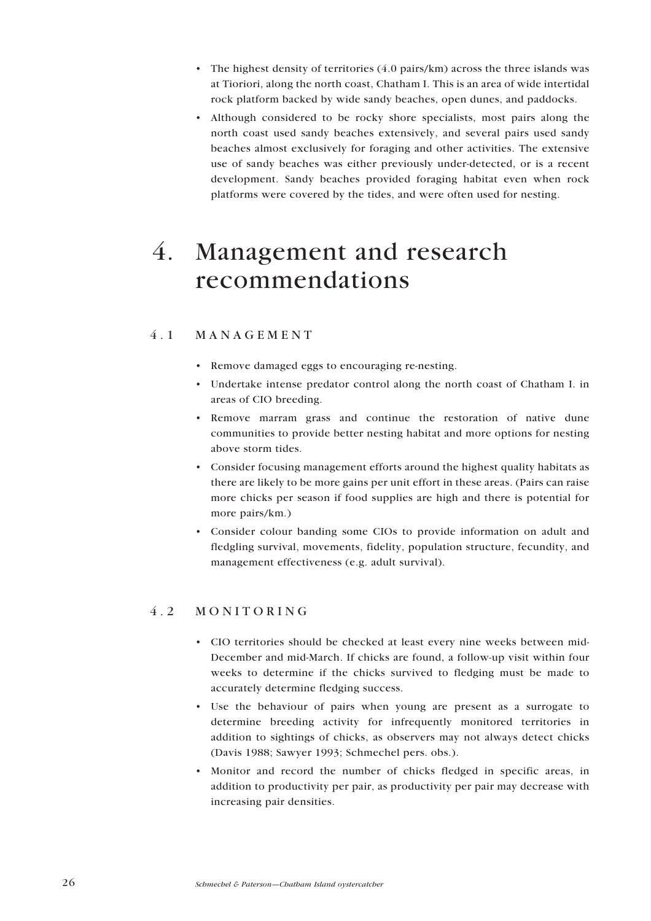- <span id="page-25-0"></span>• The highest density of territories  $(4.0 \text{ pairs/km})$  across the three islands was at Tioriori, along the north coast, Chatham I. This is an area of wide intertidal rock platform backed by wide sandy beaches, open dunes, and paddocks.
- Although considered to be rocky shore specialists, most pairs along the north coast used sandy beaches extensively, and several pairs used sandy beaches almost exclusively for foraging and other activities. The extensive use of sandy beaches was either previously under-detected, or is a recent development. Sandy beaches provided foraging habitat even when rock platforms were covered by the tides, and were often used for nesting.

## 4. Management and research recommendations

## 4.1 MANAGEMENT

- Remove damaged eggs to encouraging re-nesting.
- Undertake intense predator control along the north coast of Chatham I. in areas of CIO breeding.
- Remove marram grass and continue the restoration of native dune communities to provide better nesting habitat and more options for nesting above storm tides.
- Consider focusing management efforts around the highest quality habitats as there are likely to be more gains per unit effort in these areas. (Pairs can raise more chicks per season if food supplies are high and there is potential for more pairs/km.)
- Consider colour banding some CIOs to provide information on adult and fledgling survival, movements, fidelity, population structure, fecundity, and management effectiveness (e.g. adult survival).

## 4.2 MONITORING

- CIO territories should be checked at least every nine weeks between mid-December and mid-March. If chicks are found, a follow-up visit within four weeks to determine if the chicks survived to fledging must be made to accurately determine fledging success.
- Use the behaviour of pairs when young are present as a surrogate to determine breeding activity for infrequently monitored territories in addition to sightings of chicks, as observers may not always detect chicks (Davis 1988; Sawyer 1993; Schmechel pers. obs.).
- Monitor and record the number of chicks fledged in specific areas, in addition to productivity per pair, as productivity per pair may decrease with increasing pair densities.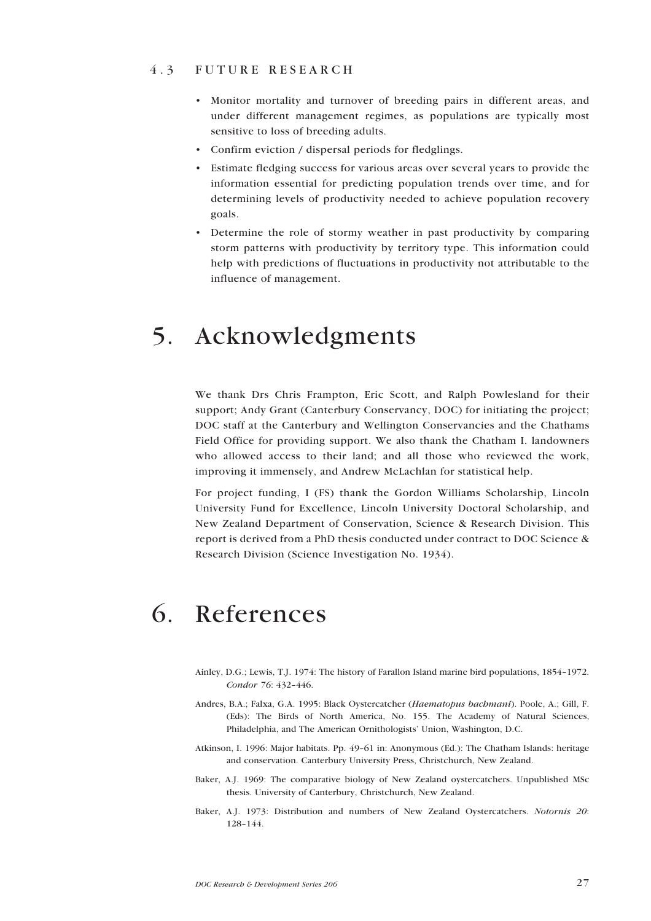#### <span id="page-26-0"></span>4.3 FUTURE RESEARCH

- ï Monitor mortality and turnover of breeding pairs in different areas, and under different management regimes, as populations are typically most sensitive to loss of breeding adults.
- Confirm eviction / dispersal periods for fledglings.
- ï Estimate fledging success for various areas over several years to provide the information essential for predicting population trends over time, and for determining levels of productivity needed to achieve population recovery goals.
- Determine the role of stormy weather in past productivity by comparing storm patterns with productivity by territory type. This information could help with predictions of fluctuations in productivity not attributable to the influence of management.

## 5. Acknowledgments

We thank Drs Chris Frampton, Eric Scott, and Ralph Powlesland for their support; Andy Grant (Canterbury Conservancy, DOC) for initiating the project; DOC staff at the Canterbury and Wellington Conservancies and the Chathams Field Office for providing support. We also thank the Chatham I. landowners who allowed access to their land; and all those who reviewed the work, improving it immensely, and Andrew McLachlan for statistical help.

For project funding, I (FS) thank the Gordon Williams Scholarship, Lincoln University Fund for Excellence, Lincoln University Doctoral Scholarship, and New Zealand Department of Conservation, Science & Research Division. This report is derived from a PhD thesis conducted under contract to DOC Science & Research Division (Science Investigation No. 1934).

## 6. References

- Ainley, D.G.; Lewis, T.J. 1974: The history of Farallon Island marine bird populations, 1854-1972. Condor 76: 432-446.
- Andres, B.A.; Falxa, G.A. 1995: Black Oystercatcher (Haematopus bachmani). Poole, A.; Gill, F. (Eds): The Birds of North America, No. 155. The Academy of Natural Sciences, Philadelphia, and The American Ornithologists' Union, Washington, D.C.
- Atkinson, I. 1996: Major habitats. Pp. 49-61 in: Anonymous (Ed.): The Chatham Islands: heritage and conservation. Canterbury University Press, Christchurch, New Zealand.
- Baker, A.J. 1969: The comparative biology of New Zealand oystercatchers. Unpublished MSc thesis. University of Canterbury, Christchurch, New Zealand.
- Baker, A.J. 1973: Distribution and numbers of New Zealand Oystercatchers. Notornis 20: 128-144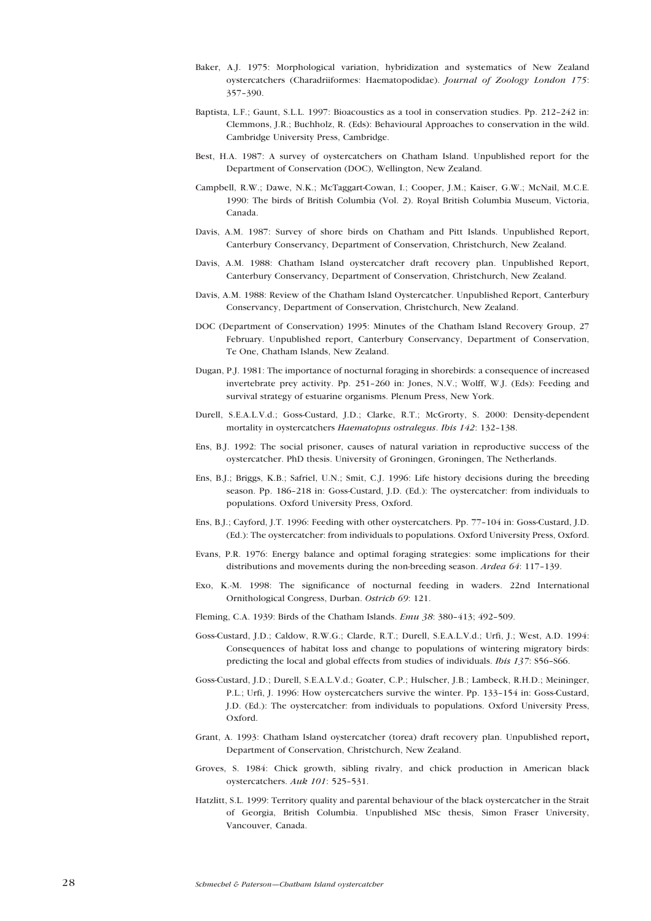- Baker, A.J. 1975: Morphological variation, hybridization and systematics of New Zealand oystercatchers (Charadriiformes: Haematopodidae). Journal of Zoology London 175: 357-390.
- Baptista, L.F.; Gaunt, S.L.L. 1997: Bioacoustics as a tool in conservation studies. Pp. 212-242 in: Clemmons, J.R.; Buchholz, R. (Eds): Behavioural Approaches to conservation in the wild. Cambridge University Press, Cambridge.
- Best, H.A. 1987: A survey of oystercatchers on Chatham Island. Unpublished report for the Department of Conservation (DOC), Wellington, New Zealand.
- Campbell, R.W.; Dawe, N.K.; McTaggart-Cowan, I.; Cooper, J.M.; Kaiser, G.W.; McNail, M.C.E. 1990: The birds of British Columbia (Vol. 2). Royal British Columbia Museum, Victoria, Canada.
- Davis, A.M. 1987: Survey of shore birds on Chatham and Pitt Islands. Unpublished Report, Canterbury Conservancy, Department of Conservation, Christchurch, New Zealand.
- Davis, A.M. 1988: Chatham Island oystercatcher draft recovery plan. Unpublished Report, Canterbury Conservancy, Department of Conservation, Christchurch, New Zealand.
- Davis, A.M. 1988: Review of the Chatham Island Oystercatcher. Unpublished Report, Canterbury Conservancy, Department of Conservation, Christchurch, New Zealand.
- DOC (Department of Conservation) 1995: Minutes of the Chatham Island Recovery Group, 27 February. Unpublished report, Canterbury Conservancy, Department of Conservation, Te One, Chatham Islands, New Zealand.
- Dugan, P.J. 1981: The importance of nocturnal foraging in shorebirds: a consequence of increased invertebrate prey activity. Pp. 251-260 in: Jones, N.V.; Wolff, W.J. (Eds): Feeding and survival strategy of estuarine organisms. Plenum Press, New York.
- Durell, S.E.A.L.V.d.; Goss-Custard, J.D.; Clarke, R.T.; McGrorty, S. 2000: Density-dependent mortality in oystercatchers Haematopus ostralegus. Ibis 142: 132-138.
- Ens, B.J. 1992: The social prisoner, causes of natural variation in reproductive success of the oystercatcher. PhD thesis. University of Groningen, Groningen, The Netherlands.
- Ens, B.J.; Briggs, K.B.; Safriel, U.N.; Smit, C.J. 1996: Life history decisions during the breeding season. Pp. 186-218 in: Goss-Custard, J.D. (Ed.): The oystercatcher: from individuals to populations. Oxford University Press, Oxford.
- Ens, B.J.; Cayford, J.T. 1996: Feeding with other oystercatchers. Pp. 77-104 in: Goss-Custard, J.D. (Ed.): The oystercatcher: from individuals to populations. Oxford University Press, Oxford.
- Evans, P.R. 1976: Energy balance and optimal foraging strategies: some implications for their distributions and movements during the non-breeding season. Ardea 64: 117-139.
- Exo, K.-M. 1998: The significance of nocturnal feeding in waders. 22nd International Ornithological Congress, Durban. Ostrich 69: 121.
- Fleming, C.A. 1939: Birds of the Chatham Islands. Emu  $38: 380-413; 492-509$ .
- Goss-Custard, J.D.; Caldow, R.W.G.; Clarde, R.T.; Durell, S.E.A.L.V.d.; Urfi, J.; West, A.D. 1994: Consequences of habitat loss and change to populations of wintering migratory birds: predicting the local and global effects from studies of individuals. *Ibis 137*:  $S56-S66$ .
- Goss-Custard, J.D.; Durell, S.E.A.L.V.d.; Goater, C.P.; Hulscher, J.B.; Lambeck, R.H.D.; Meininger, P.L.; Urfi, J. 1996: How oystercatchers survive the winter. Pp. 133-154 in: Goss-Custard, J.D. (Ed.): The oystercatcher: from individuals to populations. Oxford University Press, Oxford.
- Grant, A. 1993: Chatham Island oystercatcher (torea) draft recovery plan. Unpublished report, Department of Conservation, Christchurch, New Zealand.
- Groves, S. 1984: Chick growth, sibling rivalry, and chick production in American black oystercatchers. Auk 101: 525-531.
- Hatzlitt, S.L. 1999: Territory quality and parental behaviour of the black oystercatcher in the Strait of Georgia, British Columbia. Unpublished MSc thesis, Simon Fraser University, Vancouver, Canada.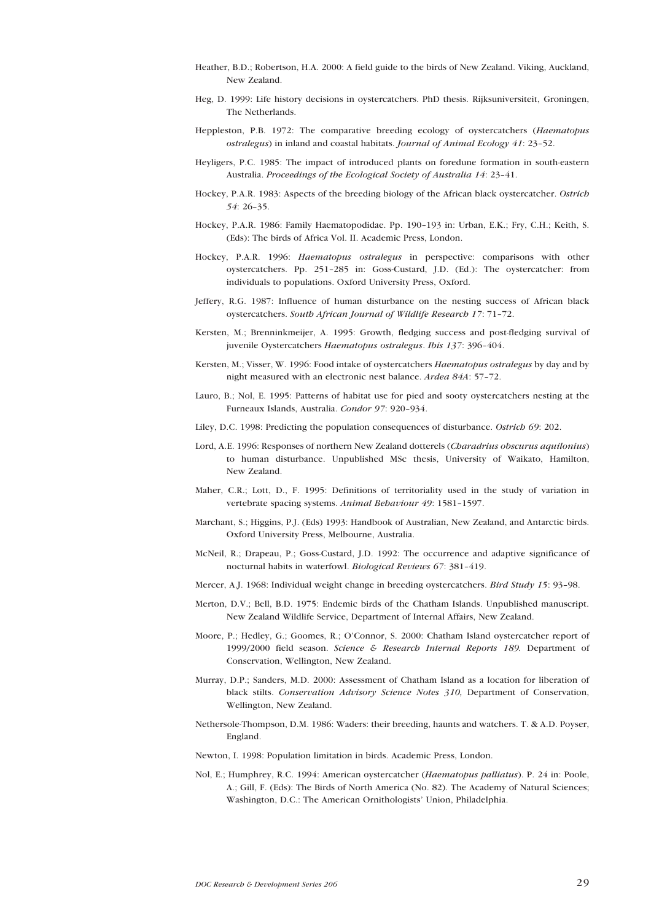- Heather, B.D.; Robertson, H.A. 2000: A field guide to the birds of New Zealand. Viking, Auckland, New Zealand.
- Heg, D. 1999: Life history decisions in oystercatchers. PhD thesis. Rijksuniversiteit, Groningen, The Netherlands.
- Heppleston, P.B. 1972: The comparative breeding ecology of oystercatchers (Haematopus ostralegus) in inland and coastal habitats. Journal of Animal Ecology 41: 23-52.
- Heyligers, P.C. 1985: The impact of introduced plants on foredune formation in south-eastern Australia. Proceedings of the Ecological Society of Australia 14: 23-41.
- Hockey, P.A.R. 1983: Aspects of the breeding biology of the African black oystercatcher. Ostrich 54: 26-35.
- Hockey, P.A.R. 1986: Family Haematopodidae. Pp. 190-193 in: Urban, E.K.; Fry, C.H.; Keith, S. (Eds): The birds of Africa Vol. II. Academic Press, London.
- Hockey, P.A.R. 1996: Haematopus ostralegus in perspective: comparisons with other oystercatchers. Pp. 251-285 in: Goss-Custard, J.D. (Ed.): The oystercatcher: from individuals to populations. Oxford University Press, Oxford.
- Jeffery, R.G. 1987: Influence of human disturbance on the nesting success of African black oystercatchers. South African Journal of Wildlife Research 17: 71-72.
- Kersten, M.; Brenninkmeijer, A. 1995: Growth, fledging success and post-fledging survival of juvenile Oystercatchers Haematopus ostralegus. Ibis 137: 396-404.
- Kersten, M.; Visser, W. 1996: Food intake of oystercatchers Haematopus ostralegus by day and by night measured with an electronic nest balance. Ardea 84A: 57-72.
- Lauro, B.; Nol, E. 1995: Patterns of habitat use for pied and sooty oystercatchers nesting at the Furneaux Islands, Australia. Condor 97: 920-934.
- Liley, D.C. 1998: Predicting the population consequences of disturbance. Ostrich 69: 202.
- Lord, A.E. 1996: Responses of northern New Zealand dotterels (Charadrius obscurus aquilonius) to human disturbance. Unpublished MSc thesis, University of Waikato, Hamilton, New Zealand.
- Maher, C.R.; Lott, D., F. 1995: Definitions of territoriality used in the study of variation in vertebrate spacing systems. Animal Behaviour 49: 1581-1597.
- Marchant, S.; Higgins, P.J. (Eds) 1993: Handbook of Australian, New Zealand, and Antarctic birds. Oxford University Press, Melbourne, Australia.
- McNeil, R.; Drapeau, P.; Goss-Custard, J.D. 1992: The occurrence and adaptive significance of nocturnal habits in waterfowl. Biological Reviews 67: 381-419.
- Mercer, A.J. 1968: Individual weight change in breeding oystercatchers. Bird Study 15: 93-98.
- Merton, D.V.; Bell, B.D. 1975: Endemic birds of the Chatham Islands. Unpublished manuscript. New Zealand Wildlife Service, Department of Internal Affairs, New Zealand.
- Moore, P.; Hedley, G.; Goomes, R.; O'Connor, S. 2000: Chatham Island oystercatcher report of 1999/2000 field season. Science & Research Internal Reports 189. Department of Conservation, Wellington, New Zealand.
- Murray, D.P.; Sanders, M.D. 2000: Assessment of Chatham Island as a location for liberation of black stilts. Conservation Advisory Science Notes 310, Department of Conservation, Wellington, New Zealand.
- Nethersole-Thompson, D.M. 1986: Waders: their breeding, haunts and watchers. T. & A.D. Poyser, England.
- Newton, I. 1998: Population limitation in birds. Academic Press, London.
- Nol, E.; Humphrey, R.C. 1994: American oystercatcher (Haematopus palliatus). P. 24 in: Poole, A.; Gill, F. (Eds): The Birds of North America (No. 82). The Academy of Natural Sciences; Washington, D.C.: The American Ornithologists' Union, Philadelphia.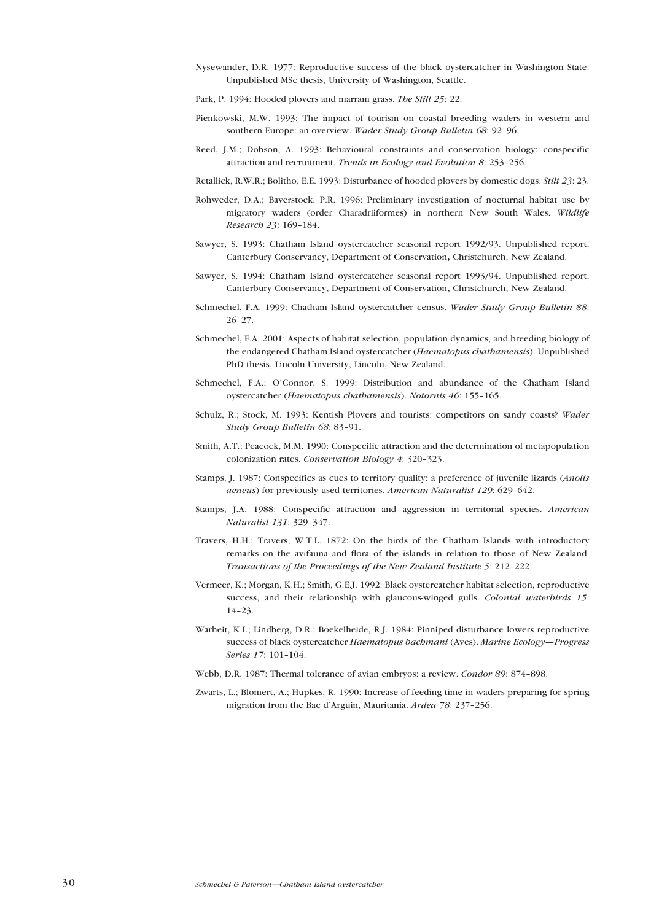Nysewander, D.R. 1977: Reproductive success of the black oystercatcher in Washington State. Unpublished MSc thesis, University of Washington, Seattle.

Park, P. 1994: Hooded plovers and marram grass. The Stilt 25: 22.

- Pienkowski, M.W. 1993: The impact of tourism on coastal breeding waders in western and southern Europe: an overview. Wader Study Group Bulletin 68: 92-96.
- Reed, J.M.; Dobson, A. 1993: Behavioural constraints and conservation biology: conspecific attraction and recruitment. Trends in Ecology and Evolution 8: 253-256.

Retallick, R.W.R.; Bolitho, E.E. 1993: Disturbance of hooded plovers by domestic dogs. Stilt 23: 23.

- Rohweder, D.A.; Baverstock, P.R. 1996: Preliminary investigation of nocturnal habitat use by migratory waders (order Charadriiformes) in northern New South Wales. Wildlife Research 23: 169-184.
- Sawyer, S. 1993: Chatham Island oystercatcher seasonal report 1992/93. Unpublished report, Canterbury Conservancy, Department of Conservation, Christchurch, New Zealand.
- Sawyer, S. 1994: Chatham Island oystercatcher seasonal report 1993/94. Unpublished report, Canterbury Conservancy, Department of Conservation, Christchurch, New Zealand.
- Schmechel, F.A. 1999: Chatham Island oystercatcher census. Wader Study Group Bulletin 88:  $26 - 27$ .
- Schmechel, F.A. 2001: Aspects of habitat selection, population dynamics, and breeding biology of the endangered Chatham Island oystercatcher (Haematopus chathamensis). Unpublished PhD thesis, Lincoln University, Lincoln, New Zealand.
- Schmechel, F.A.; O'Connor, S. 1999: Distribution and abundance of the Chatham Island oystercatcher (Haematopus chathamensis). Notornis 46: 155-165.
- Schulz, R.; Stock, M. 1993: Kentish Plovers and tourists: competitors on sandy coasts? Wader Study Group Bulletin 68: 83-91.
- Smith, A.T.; Peacock, M.M. 1990: Conspecific attraction and the determination of metapopulation colonization rates. Conservation Biology 4: 320-323.
- Stamps, J. 1987: Conspecifics as cues to territory quality: a preference of juvenile lizards (Anolis aeneus) for previously used territories. American Naturalist 129: 629-642.
- Stamps, J.A. 1988: Conspecific attraction and aggression in territorial species. American Naturalist 131: 329-347.
- Travers, H.H.; Travers, W.T.L. 1872: On the birds of the Chatham Islands with introductory remarks on the avifauna and flora of the islands in relation to those of New Zealand. Transactions of the Proceedings of the New Zealand Institute 5: 212-222.
- Vermeer, K.; Morgan, K.H.; Smith, G.E.J. 1992: Black oystercatcher habitat selection, reproductive success, and their relationship with glaucous-winged gulls. Colonial waterbirds 15:  $14 - 23$ .
- Warheit, K.I.; Lindberg, D.R.; Boekelheide, R.J. 1984: Pinniped disturbance lowers reproductive success of black oystercatcher Haematopus bachmani (Aves). Marine Ecology-Progress Series 17: 101-104.
- Webb, D.R. 1987: Thermal tolerance of avian embryos: a review. Condor 89: 874-898.
- Zwarts, L.; Blomert, A.; Hupkes, R. 1990: Increase of feeding time in waders preparing for spring migration from the Bac d'Arguin, Mauritania. Ardea 78: 237-256.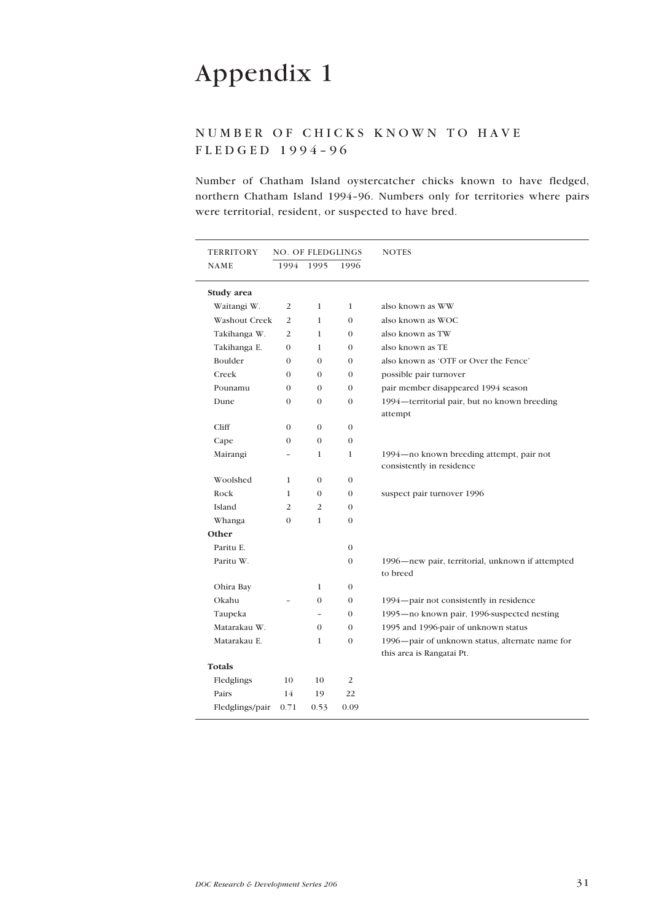## <span id="page-30-0"></span>NUMBER OF CHICKS KNOWN TO HAVE  $FLEDGED 1994-96$

Number of Chatham Island oystercatcher chicks known to have fledged, northern Chatham Island 1994-96. Numbers only for territories where pairs were territorial, resident, or suspected to have bred.

| <b>TERRITORY</b>     | <b>NO. OF FLEDGLINGS</b> |                |                  | <b>NOTES</b>                                                                 |
|----------------------|--------------------------|----------------|------------------|------------------------------------------------------------------------------|
| <b>NAME</b>          | 1994                     | 1995           | 1996             |                                                                              |
| Study area           |                          |                |                  |                                                                              |
| Waitangi W.          | 2                        | $\mathbf{1}$   | $\mathbf{1}$     | also known as WW                                                             |
| <b>Washout Creek</b> | 2                        | 1              | $\mathbf{0}$     | also known as WOC                                                            |
| Takihanga W.         | 2                        | $\mathbf{1}$   | $\mathbf{0}$     | also known as TW                                                             |
| Takihanga E.         | $\mathbf{0}$             | 1              | $\mathbf{0}$     | also known as TE                                                             |
| Boulder              | $\mathbf{0}$             | $\mathbf{0}$   | $\mathbf{0}$     | also known as 'OTF or Over the Fence'                                        |
| Creek                | $\mathbf{0}$             | $\mathbf{0}$   | $\mathbf{0}$     | possible pair turnover                                                       |
| Pounamu              | $\mathbf{0}$             | $\mathbf{0}$   | $\mathbf{0}$     | pair member disappeared 1994 season                                          |
| Dune                 | $\mathbf{0}$             | $\mathbf{0}$   | $\mathbf{0}$     | 1994-territorial pair, but no known breeding<br>attempt                      |
| Cliff                | $\mathbf{0}$             | $\mathbf{0}$   | $\mathbf{0}$     |                                                                              |
| Cape                 | $\mathbf{0}$             | $\mathbf{0}$   | $\boldsymbol{0}$ |                                                                              |
| Mairangi             |                          | 1              | $\mathbf{1}$     | 1994-no known breeding attempt, pair not                                     |
|                      |                          |                |                  | consistently in residence                                                    |
| Woolshed             | $\mathbf{1}$             | $\mathbf{0}$   | $\mathbf{0}$     |                                                                              |
| Rock                 | 1                        | $\mathbf{0}$   | $\boldsymbol{0}$ | suspect pair turnover 1996                                                   |
| Island               | $\overline{2}$           | 2              | $\mathbf{0}$     |                                                                              |
| Whanga               | $\mathbf{0}$             | $\mathbf{1}$   | $\mathbf{0}$     |                                                                              |
| Other                |                          |                |                  |                                                                              |
| Paritu E.            |                          |                | $\boldsymbol{0}$ |                                                                              |
| Paritu W.            |                          |                | $\mathbf{0}$     | 1996—new pair, territorial, unknown if attempted<br>to breed                 |
| Ohira Bay            |                          | 1              | $\mathbf{0}$     |                                                                              |
| Okahu                |                          | $\mathbf{0}$   | $\mathbf{0}$     | 1994 – pair not consistently in residence                                    |
| Taupeka              |                          | $\overline{a}$ | $\mathbf{0}$     | 1995-no known pair, 1996-suspected nesting                                   |
| Matarakau W.         |                          | $\mathbf{0}$   | $\mathbf{0}$     | 1995 and 1996-pair of unknown status                                         |
| Matarakau E.         |                          | $\mathbf{1}$   | $\mathbf{0}$     | 1996-pair of unknown status, alternate name for<br>this area is Rangatai Pt. |
| <b>Totals</b>        |                          |                |                  |                                                                              |
| Fledglings           | 10                       | 10             | $\overline{2}$   |                                                                              |
| Pairs                | 14                       | 19             | 22               |                                                                              |
| Fledglings/pair      | 0.71                     | 0.53           | 0.09             |                                                                              |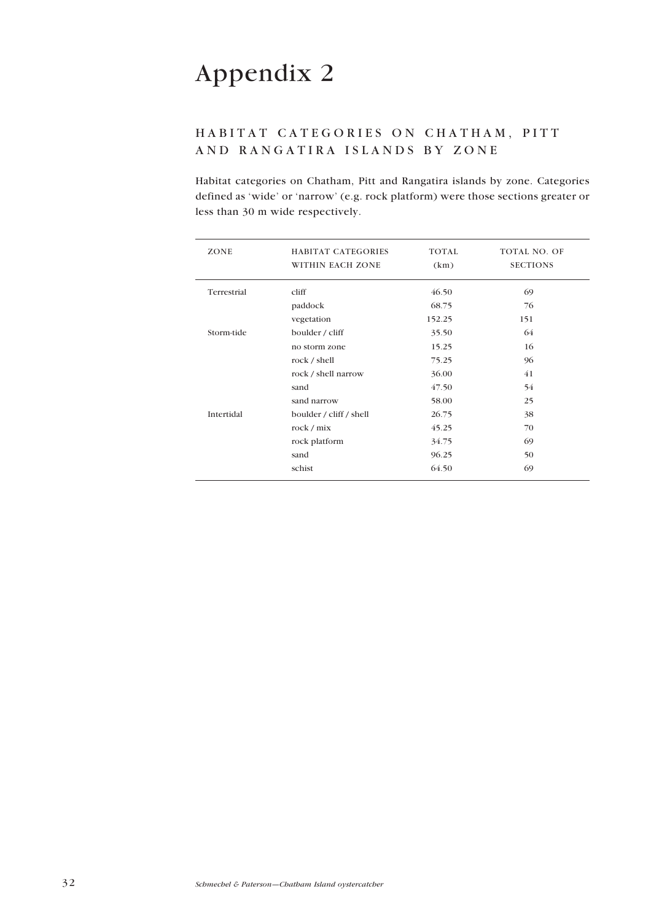## <span id="page-31-0"></span>HABITAT CATEGORIES ON CHATHAM, PITT AND RANGATIRA ISLANDS BY ZONE

Habitat categories on Chatham, Pitt and Rangatira islands by zone. Categories defined as 'wide' or 'narrow' (e.g. rock platform) were those sections greater or less than 30 m wide respectively.

| ZONE        | HABITAT CATEGORIES      | TOTAL  | TOTAL NO. OF    |
|-------------|-------------------------|--------|-----------------|
|             | WITHIN EACH ZONE        | (km)   | <b>SECTIONS</b> |
| Terrestrial | cliff                   | 46.50  | 69              |
|             | paddock                 | 68.75  | 76              |
|             | vegetation              | 152.25 | 151             |
| Storm-tide  | boulder / cliff         | 35.50  | 64              |
|             | no storm zone           | 15.25  | 16              |
|             | rock / shell            | 75.25  | 96              |
|             | rock / shell narrow     | 36.00  | 41              |
|             | sand                    | 47.50  | 54              |
|             | sand narrow             | 58.00  | 25              |
| Intertidal  | boulder / cliff / shell | 26.75  | 38              |
|             | rock / mix              | 45.25  | 70              |
|             | rock platform           | 34.75  | 69              |
|             | sand                    | 96.25  | 50              |
|             | schist                  | 64.50  | 69              |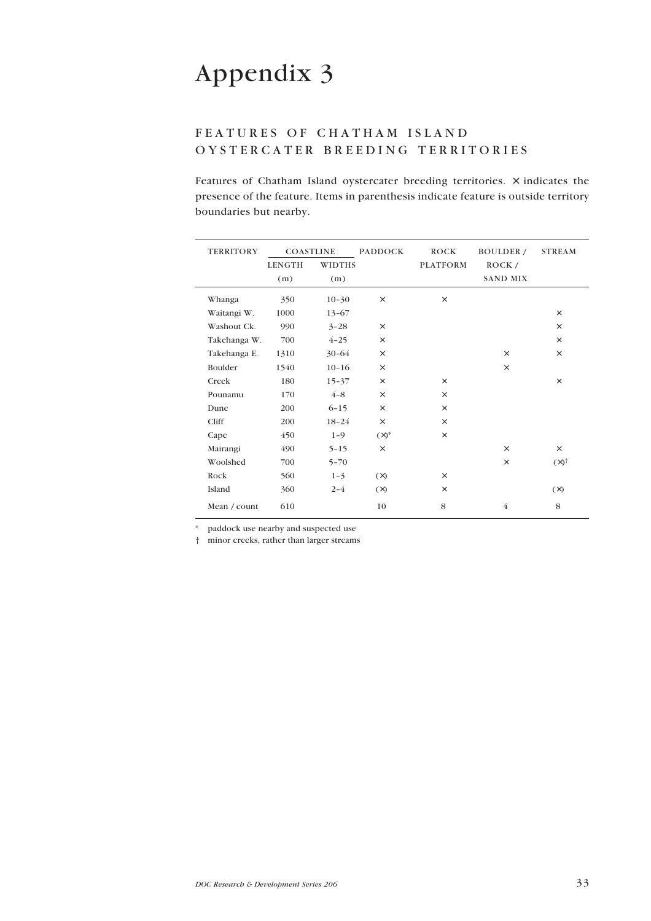## <span id="page-32-0"></span>FEATURES OF CHATHAM ISLAND OYSTERCATER BREEDING TERRITORIES

Features of Chatham Island oystercater breeding territories.  $\times$  indicates the presence of the feature. Items in parenthesis indicate feature is outside territory boundaries but nearby.

| <b>TERRITORY</b> | <b>COASTLINE</b> |               | <b>PADDOCK</b> | <b>ROCK</b>     | BOULDER /       | <b>STREAM</b>      |
|------------------|------------------|---------------|----------------|-----------------|-----------------|--------------------|
|                  | <b>LENGTH</b>    | <b>WIDTHS</b> |                | <b>PLATFORM</b> | ROCK/           |                    |
|                  | (m)              | (m)           |                |                 | <b>SAND MIX</b> |                    |
| Whanga           | 350              | $10 - 30$     | $\times$       | $\times$        |                 |                    |
| Waitangi W.      | 1000             | $13 - 67$     |                |                 |                 | $\times$           |
| Washout Ck.      | 990              | $3 - 28$      | $\times$       |                 |                 | $\times$           |
| Takehanga W.     | 700              | $4 - 25$      | $\times$       |                 |                 | $\times$           |
| Takehanga E.     | 1310             | $30 - 64$     | $\times$       |                 | $\times$        | $\times$           |
| Boulder          | 1540             | $10 - 16$     | $\times$       |                 | $\times$        |                    |
| Creek            | 180              | $15 - 37$     | X              | $\times$        |                 | $\times$           |
| Pounamu          | 170              | $4 - 8$       | X              | $\times$        |                 |                    |
| Dune             | 200              | $6 - 15$      | $\times$       | $\times$        |                 |                    |
| Cliff            | 200              | $18 - 24$     | $\times$       | $\times$        |                 |                    |
| Cape             | 450              | $1 - 9$       | $(\times)^*$   | $\times$        |                 |                    |
| Mairangi         | 490              | $5 - 15$      | $\times$       |                 | $\times$        | $\times$           |
| Woolshed         | 700              | $5 - 70$      |                |                 | $\times$        | $(\times)^\dagger$ |
| Rock             | 560              | $1 - 3$       | $(\times)$     | $\times$        |                 |                    |
| Island           | 360              | $2 - 4$       | $(\times)$     | $\times$        |                 | $(\times)$         |
| Mean / count     | 610              |               | 10             | 8               | $\overline{4}$  | 8                  |

paddock use nearby and suspected use

Ü minor creeks, rather than larger streams